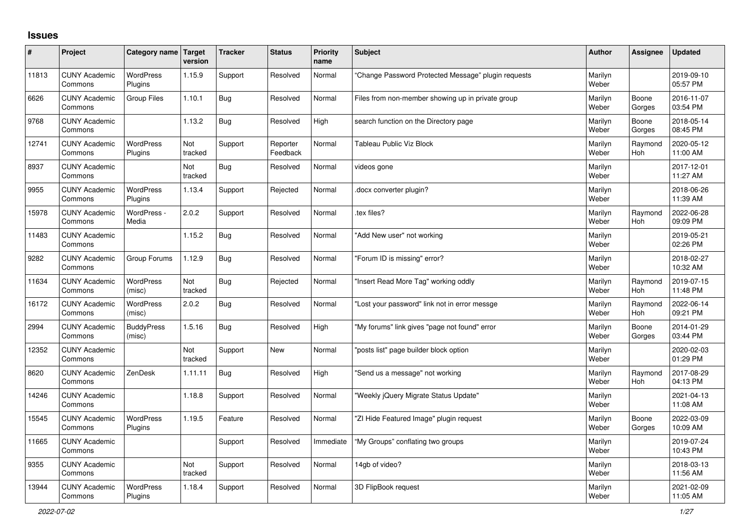## **Issues**

| ∦     | Project                         | Category name   Target      | version        | <b>Tracker</b> | <b>Status</b>        | Priority<br>name | <b>Subject</b>                                      | <b>Author</b>    | Assignee              | <b>Updated</b>         |
|-------|---------------------------------|-----------------------------|----------------|----------------|----------------------|------------------|-----------------------------------------------------|------------------|-----------------------|------------------------|
| 11813 | <b>CUNY Academic</b><br>Commons | <b>WordPress</b><br>Plugins | 1.15.9         | Support        | Resolved             | Normal           | "Change Password Protected Message" plugin requests | Marilyn<br>Weber |                       | 2019-09-10<br>05:57 PM |
| 6626  | <b>CUNY Academic</b><br>Commons | <b>Group Files</b>          | 1.10.1         | Bug            | Resolved             | Normal           | Files from non-member showing up in private group   | Marilyn<br>Weber | Boone<br>Gorges       | 2016-11-07<br>03:54 PM |
| 9768  | <b>CUNY Academic</b><br>Commons |                             | 1.13.2         | <b>Bug</b>     | Resolved             | High             | search function on the Directory page               | Marilyn<br>Weber | Boone<br>Gorges       | 2018-05-14<br>08:45 PM |
| 12741 | <b>CUNY Academic</b><br>Commons | <b>WordPress</b><br>Plugins | Not<br>tracked | Support        | Reporter<br>Feedback | Normal           | <b>Tableau Public Viz Block</b>                     | Marilyn<br>Weber | Raymond<br><b>Hoh</b> | 2020-05-12<br>11:00 AM |
| 8937  | <b>CUNY Academic</b><br>Commons |                             | Not<br>tracked | <b>Bug</b>     | Resolved             | Normal           | videos gone                                         | Marilyn<br>Weber |                       | 2017-12-01<br>11:27 AM |
| 9955  | <b>CUNY Academic</b><br>Commons | WordPress<br>Plugins        | 1.13.4         | Support        | Rejected             | Normal           | docx converter plugin?                              | Marilyn<br>Weber |                       | 2018-06-26<br>11:39 AM |
| 15978 | <b>CUNY Academic</b><br>Commons | WordPress -<br>Media        | 2.0.2          | Support        | Resolved             | Normal           | .tex files?                                         | Marilyn<br>Weber | Raymond<br><b>Hoh</b> | 2022-06-28<br>09:09 PM |
| 11483 | <b>CUNY Academic</b><br>Commons |                             | 1.15.2         | <b>Bug</b>     | Resolved             | Normal           | "Add New user" not working                          | Marilyn<br>Weber |                       | 2019-05-21<br>02:26 PM |
| 9282  | <b>CUNY Academic</b><br>Commons | Group Forums                | 1.12.9         | <b>Bug</b>     | Resolved             | Normal           | "Forum ID is missing" error?                        | Marilyn<br>Weber |                       | 2018-02-27<br>10:32 AM |
| 11634 | <b>CUNY Academic</b><br>Commons | <b>WordPress</b><br>(misc)  | Not<br>tracked | <b>Bug</b>     | Rejected             | Normal           | 'Insert Read More Tag" working oddly                | Marilyn<br>Weber | Raymond<br><b>Hoh</b> | 2019-07-15<br>11:48 PM |
| 16172 | <b>CUNY Academic</b><br>Commons | WordPress<br>(misc)         | 2.0.2          | <b>Bug</b>     | Resolved             | Normal           | "Lost your password" link not in error messge       | Marilyn<br>Weber | Raymond<br><b>Hoh</b> | 2022-06-14<br>09:21 PM |
| 2994  | <b>CUNY Academic</b><br>Commons | <b>BuddyPress</b><br>(misc) | 1.5.16         | Bug            | Resolved             | High             | "My forums" link gives "page not found" error       | Marilyn<br>Weber | Boone<br>Gorges       | 2014-01-29<br>03:44 PM |
| 12352 | <b>CUNY Academic</b><br>Commons |                             | Not<br>tracked | Support        | New                  | Normal           | 'posts list" page builder block option              | Marilyn<br>Weber |                       | 2020-02-03<br>01:29 PM |
| 8620  | <b>CUNY Academic</b><br>Commons | ZenDesk                     | 1.11.11        | Bug            | Resolved             | High             | 'Send us a message" not working                     | Marilyn<br>Weber | Raymond<br>Hoh        | 2017-08-29<br>04:13 PM |
| 14246 | <b>CUNY Academic</b><br>Commons |                             | 1.18.8         | Support        | Resolved             | Normal           | "Weekly jQuery Migrate Status Update"               | Marilyn<br>Weber |                       | 2021-04-13<br>11:08 AM |
| 15545 | <b>CUNY Academic</b><br>Commons | WordPress<br>Plugins        | 1.19.5         | Feature        | Resolved             | Normal           | "ZI Hide Featured Image" plugin request             | Marilyn<br>Weber | Boone<br>Gorges       | 2022-03-09<br>10:09 AM |
| 11665 | <b>CUNY Academic</b><br>Commons |                             |                | Support        | Resolved             | Immediate        | "My Groups" conflating two groups                   | Marilyn<br>Weber |                       | 2019-07-24<br>10:43 PM |
| 9355  | <b>CUNY Academic</b><br>Commons |                             | Not<br>tracked | Support        | Resolved             | Normal           | 14gb of video?                                      | Marilyn<br>Weber |                       | 2018-03-13<br>11:56 AM |
| 13944 | <b>CUNY Academic</b><br>Commons | <b>WordPress</b><br>Plugins | 1.18.4         | Support        | Resolved             | Normal           | 3D FlipBook request                                 | Marilyn<br>Weber |                       | 2021-02-09<br>11:05 AM |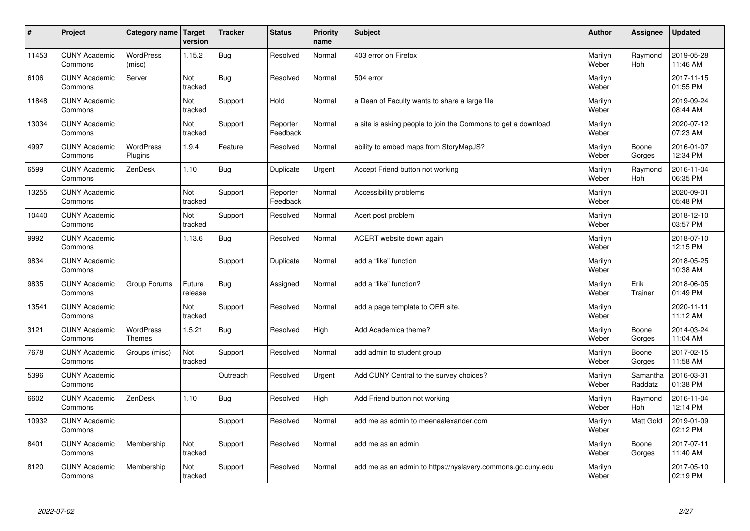| #     | Project                         | Category name   Target            | version           | <b>Tracker</b> | <b>Status</b>        | <b>Priority</b><br>name | <b>Subject</b>                                                | <b>Author</b>    | <b>Assignee</b>       | <b>Updated</b>         |
|-------|---------------------------------|-----------------------------------|-------------------|----------------|----------------------|-------------------------|---------------------------------------------------------------|------------------|-----------------------|------------------------|
| 11453 | <b>CUNY Academic</b><br>Commons | <b>WordPress</b><br>(misc)        | 1.15.2            | Bug            | Resolved             | Normal                  | 403 error on Firefox                                          | Marilyn<br>Weber | Raymond<br><b>Hoh</b> | 2019-05-28<br>11:46 AM |
| 6106  | <b>CUNY Academic</b><br>Commons | Server                            | Not<br>tracked    | Bug            | Resolved             | Normal                  | 504 error                                                     | Marilyn<br>Weber |                       | 2017-11-15<br>01:55 PM |
| 11848 | <b>CUNY Academic</b><br>Commons |                                   | Not<br>tracked    | Support        | Hold                 | Normal                  | a Dean of Faculty wants to share a large file                 | Marilyn<br>Weber |                       | 2019-09-24<br>08:44 AM |
| 13034 | <b>CUNY Academic</b><br>Commons |                                   | Not<br>tracked    | Support        | Reporter<br>Feedback | Normal                  | a site is asking people to join the Commons to get a download | Marilyn<br>Weber |                       | 2020-07-12<br>07:23 AM |
| 4997  | <b>CUNY Academic</b><br>Commons | <b>WordPress</b><br>Plugins       | 1.9.4             | Feature        | Resolved             | Normal                  | ability to embed maps from StoryMapJS?                        | Marilyn<br>Weber | Boone<br>Gorges       | 2016-01-07<br>12:34 PM |
| 6599  | <b>CUNY Academic</b><br>Commons | ZenDesk                           | 1.10              | Bug            | Duplicate            | Urgent                  | Accept Friend button not working                              | Marilyn<br>Weber | Raymond<br>Hoh        | 2016-11-04<br>06:35 PM |
| 13255 | <b>CUNY Academic</b><br>Commons |                                   | Not<br>tracked    | Support        | Reporter<br>Feedback | Normal                  | Accessibility problems                                        | Marilyn<br>Weber |                       | 2020-09-01<br>05:48 PM |
| 10440 | <b>CUNY Academic</b><br>Commons |                                   | Not<br>tracked    | Support        | Resolved             | Normal                  | Acert post problem                                            | Marilyn<br>Weber |                       | 2018-12-10<br>03:57 PM |
| 9992  | <b>CUNY Academic</b><br>Commons |                                   | 1.13.6            | <b>Bug</b>     | Resolved             | Normal                  | ACERT website down again                                      | Marilyn<br>Weber |                       | 2018-07-10<br>12:15 PM |
| 9834  | <b>CUNY Academic</b><br>Commons |                                   |                   | Support        | Duplicate            | Normal                  | add a "like" function                                         | Marilyn<br>Weber |                       | 2018-05-25<br>10:38 AM |
| 9835  | <b>CUNY Academic</b><br>Commons | Group Forums                      | Future<br>release | Bug            | Assigned             | Normal                  | add a "like" function?                                        | Marilyn<br>Weber | Erik<br>Trainer       | 2018-06-05<br>01:49 PM |
| 13541 | <b>CUNY Academic</b><br>Commons |                                   | Not<br>tracked    | Support        | Resolved             | Normal                  | add a page template to OER site.                              | Marilyn<br>Weber |                       | 2020-11-11<br>11:12 AM |
| 3121  | <b>CUNY Academic</b><br>Commons | <b>WordPress</b><br><b>Themes</b> | 1.5.21            | Bug            | Resolved             | High                    | Add Academica theme?                                          | Marilyn<br>Weber | Boone<br>Gorges       | 2014-03-24<br>11:04 AM |
| 7678  | <b>CUNY Academic</b><br>Commons | Groups (misc)                     | Not<br>tracked    | Support        | Resolved             | Normal                  | add admin to student group                                    | Marilyn<br>Weber | Boone<br>Gorges       | 2017-02-15<br>11:58 AM |
| 5396  | <b>CUNY Academic</b><br>Commons |                                   |                   | Outreach       | Resolved             | Urgent                  | Add CUNY Central to the survey choices?                       | Marilyn<br>Weber | Samantha<br>Raddatz   | 2016-03-31<br>01:38 PM |
| 6602  | <b>CUNY Academic</b><br>Commons | ZenDesk                           | 1.10              | Bug            | Resolved             | High                    | Add Friend button not working                                 | Marilyn<br>Weber | Raymond<br>Hoh        | 2016-11-04<br>12:14 PM |
| 10932 | <b>CUNY Academic</b><br>Commons |                                   |                   | Support        | Resolved             | Normal                  | add me as admin to meenaalexander.com                         | Marilyn<br>Weber | Matt Gold             | 2019-01-09<br>02:12 PM |
| 8401  | <b>CUNY Academic</b><br>Commons | Membership                        | Not<br>tracked    | Support        | Resolved             | Normal                  | add me as an admin                                            | Marilyn<br>Weber | Boone<br>Gorges       | 2017-07-11<br>11:40 AM |
| 8120  | <b>CUNY Academic</b><br>Commons | Membership                        | Not<br>tracked    | Support        | Resolved             | Normal                  | add me as an admin to https://nyslavery.commons.gc.cuny.edu   | Marilyn<br>Weber |                       | 2017-05-10<br>02:19 PM |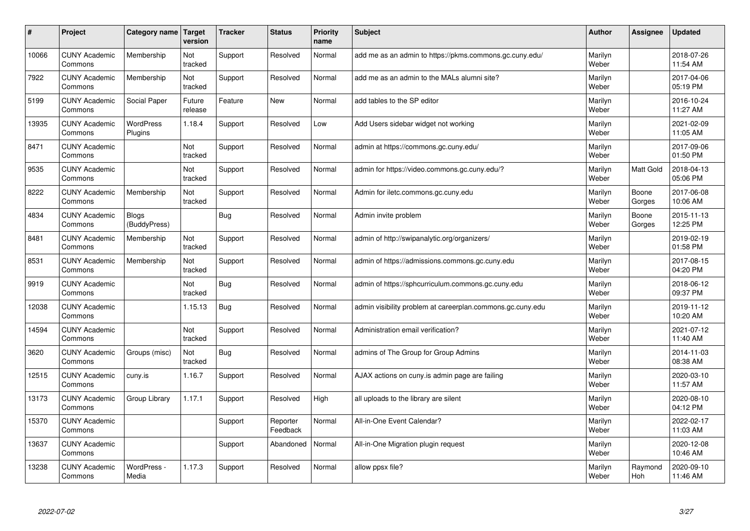| #     | Project                         | Category name   Target       | version           | <b>Tracker</b> | <b>Status</b>        | <b>Priority</b><br>name | <b>Subject</b>                                             | <b>Author</b>    | Assignee         | <b>Updated</b>         |
|-------|---------------------------------|------------------------------|-------------------|----------------|----------------------|-------------------------|------------------------------------------------------------|------------------|------------------|------------------------|
| 10066 | <b>CUNY Academic</b><br>Commons | Membership                   | Not<br>tracked    | Support        | Resolved             | Normal                  | add me as an admin to https://pkms.commons.gc.cuny.edu/    | Marilyn<br>Weber |                  | 2018-07-26<br>11:54 AM |
| 7922  | <b>CUNY Academic</b><br>Commons | Membership                   | Not<br>tracked    | Support        | Resolved             | Normal                  | add me as an admin to the MALs alumni site?                | Marilyn<br>Weber |                  | 2017-04-06<br>05:19 PM |
| 5199  | <b>CUNY Academic</b><br>Commons | Social Paper                 | Future<br>release | Feature        | <b>New</b>           | Normal                  | add tables to the SP editor                                | Marilyn<br>Weber |                  | 2016-10-24<br>11:27 AM |
| 13935 | <b>CUNY Academic</b><br>Commons | <b>WordPress</b><br>Plugins  | 1.18.4            | Support        | Resolved             | Low                     | Add Users sidebar widget not working                       | Marilyn<br>Weber |                  | 2021-02-09<br>11:05 AM |
| 8471  | <b>CUNY Academic</b><br>Commons |                              | Not<br>tracked    | Support        | Resolved             | Normal                  | admin at https://commons.gc.cuny.edu/                      | Marilyn<br>Weber |                  | 2017-09-06<br>01:50 PM |
| 9535  | <b>CUNY Academic</b><br>Commons |                              | Not<br>tracked    | Support        | Resolved             | Normal                  | admin for https://video.commons.gc.cuny.edu/?              | Marilyn<br>Weber | <b>Matt Gold</b> | 2018-04-13<br>05:06 PM |
| 8222  | <b>CUNY Academic</b><br>Commons | Membership                   | Not<br>tracked    | Support        | Resolved             | Normal                  | Admin for iletc.commons.gc.cuny.edu                        | Marilyn<br>Weber | Boone<br>Gorges  | 2017-06-08<br>10:06 AM |
| 4834  | <b>CUNY Academic</b><br>Commons | <b>Blogs</b><br>(BuddyPress) |                   | <b>Bug</b>     | Resolved             | Normal                  | Admin invite problem                                       | Marilyn<br>Weber | Boone<br>Gorges  | 2015-11-13<br>12:25 PM |
| 8481  | <b>CUNY Academic</b><br>Commons | Membership                   | Not<br>tracked    | Support        | Resolved             | Normal                  | admin of http://swipanalytic.org/organizers/               | Marilyn<br>Weber |                  | 2019-02-19<br>01:58 PM |
| 8531  | <b>CUNY Academic</b><br>Commons | Membership                   | Not<br>tracked    | Support        | Resolved             | Normal                  | admin of https://admissions.commons.gc.cuny.edu            | Marilyn<br>Weber |                  | 2017-08-15<br>04:20 PM |
| 9919  | <b>CUNY Academic</b><br>Commons |                              | Not<br>tracked    | Bug            | Resolved             | Normal                  | admin of https://sphcurriculum.commons.gc.cuny.edu         | Marilyn<br>Weber |                  | 2018-06-12<br>09:37 PM |
| 12038 | <b>CUNY Academic</b><br>Commons |                              | 1.15.13           | <b>Bug</b>     | Resolved             | Normal                  | admin visibility problem at careerplan.commons.gc.cuny.edu | Marilyn<br>Weber |                  | 2019-11-12<br>10:20 AM |
| 14594 | <b>CUNY Academic</b><br>Commons |                              | Not<br>tracked    | Support        | Resolved             | Normal                  | Administration email verification?                         | Marilyn<br>Weber |                  | 2021-07-12<br>11:40 AM |
| 3620  | <b>CUNY Academic</b><br>Commons | Groups (misc)                | Not<br>tracked    | Bug            | Resolved             | Normal                  | admins of The Group for Group Admins                       | Marilyn<br>Weber |                  | 2014-11-03<br>08:38 AM |
| 12515 | <b>CUNY Academic</b><br>Commons | cuny.is                      | 1.16.7            | Support        | Resolved             | Normal                  | AJAX actions on cuny.is admin page are failing             | Marilyn<br>Weber |                  | 2020-03-10<br>11:57 AM |
| 13173 | <b>CUNY Academic</b><br>Commons | Group Library                | 1.17.1            | Support        | Resolved             | High                    | all uploads to the library are silent                      | Marilyn<br>Weber |                  | 2020-08-10<br>04:12 PM |
| 15370 | <b>CUNY Academic</b><br>Commons |                              |                   | Support        | Reporter<br>Feedback | Normal                  | All-in-One Event Calendar?                                 | Marilyn<br>Weber |                  | 2022-02-17<br>11:03 AM |
| 13637 | <b>CUNY Academic</b><br>Commons |                              |                   | Support        | Abandoned            | Normal                  | All-in-One Migration plugin request                        | Marilyn<br>Weber |                  | 2020-12-08<br>10:46 AM |
| 13238 | <b>CUNY Academic</b><br>Commons | WordPress -<br>Media         | 1.17.3            | Support        | Resolved             | Normal                  | allow ppsx file?                                           | Marilyn<br>Weber | Raymond<br>Hoh   | 2020-09-10<br>11:46 AM |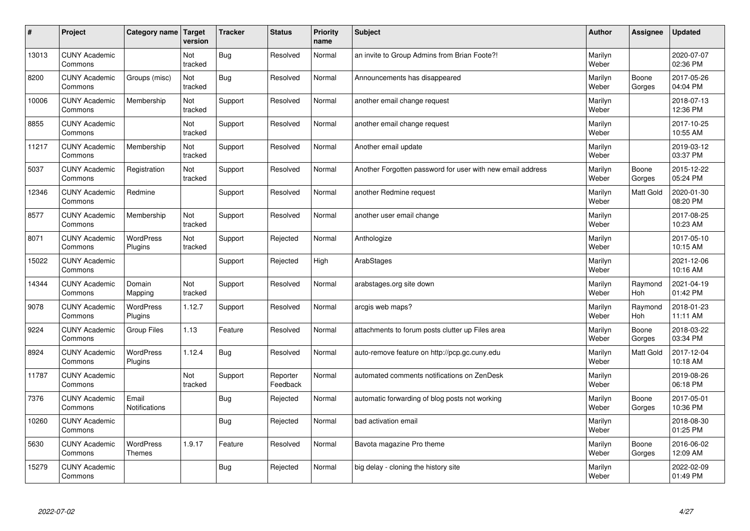| #     | Project                         | Category name   Target        | version        | <b>Tracker</b> | <b>Status</b>        | <b>Priority</b><br>name | <b>Subject</b>                                             | <b>Author</b>    | <b>Assignee</b>       | <b>Updated</b>         |
|-------|---------------------------------|-------------------------------|----------------|----------------|----------------------|-------------------------|------------------------------------------------------------|------------------|-----------------------|------------------------|
| 13013 | <b>CUNY Academic</b><br>Commons |                               | Not<br>tracked | Bug            | Resolved             | Normal                  | an invite to Group Admins from Brian Foote?!               | Marilyn<br>Weber |                       | 2020-07-07<br>02:36 PM |
| 8200  | <b>CUNY Academic</b><br>Commons | Groups (misc)                 | Not<br>tracked | Bug            | Resolved             | Normal                  | Announcements has disappeared                              | Marilyn<br>Weber | Boone<br>Gorges       | 2017-05-26<br>04:04 PM |
| 10006 | <b>CUNY Academic</b><br>Commons | Membership                    | Not<br>tracked | Support        | Resolved             | Normal                  | another email change request                               | Marilyn<br>Weber |                       | 2018-07-13<br>12:36 PM |
| 8855  | <b>CUNY Academic</b><br>Commons |                               | Not<br>tracked | Support        | Resolved             | Normal                  | another email change request                               | Marilyn<br>Weber |                       | 2017-10-25<br>10:55 AM |
| 11217 | <b>CUNY Academic</b><br>Commons | Membership                    | Not<br>tracked | Support        | Resolved             | Normal                  | Another email update                                       | Marilyn<br>Weber |                       | 2019-03-12<br>03:37 PM |
| 5037  | <b>CUNY Academic</b><br>Commons | Registration                  | Not<br>tracked | Support        | Resolved             | Normal                  | Another Forgotten password for user with new email address | Marilyn<br>Weber | Boone<br>Gorges       | 2015-12-22<br>05:24 PM |
| 12346 | <b>CUNY Academic</b><br>Commons | Redmine                       |                | Support        | Resolved             | Normal                  | another Redmine request                                    | Marilyn<br>Weber | <b>Matt Gold</b>      | 2020-01-30<br>08:20 PM |
| 8577  | <b>CUNY Academic</b><br>Commons | Membership                    | Not<br>tracked | Support        | Resolved             | Normal                  | another user email change                                  | Marilyn<br>Weber |                       | 2017-08-25<br>10:23 AM |
| 8071  | <b>CUNY Academic</b><br>Commons | WordPress<br>Plugins          | Not<br>tracked | Support        | Rejected             | Normal                  | Anthologize                                                | Marilyn<br>Weber |                       | 2017-05-10<br>10:15 AM |
| 15022 | <b>CUNY Academic</b><br>Commons |                               |                | Support        | Rejected             | High                    | ArabStages                                                 | Marilyn<br>Weber |                       | 2021-12-06<br>10:16 AM |
| 14344 | <b>CUNY Academic</b><br>Commons | Domain<br>Mapping             | Not<br>tracked | Support        | Resolved             | Normal                  | arabstages.org site down                                   | Marilyn<br>Weber | Raymond<br><b>Hoh</b> | 2021-04-19<br>01:42 PM |
| 9078  | <b>CUNY Academic</b><br>Commons | <b>WordPress</b><br>Plugins   | 1.12.7         | Support        | Resolved             | Normal                  | arcgis web maps?                                           | Marilyn<br>Weber | Raymond<br>Hoh        | 2018-01-23<br>11:11 AM |
| 9224  | <b>CUNY Academic</b><br>Commons | <b>Group Files</b>            | 1.13           | Feature        | Resolved             | Normal                  | attachments to forum posts clutter up Files area           | Marilyn<br>Weber | Boone<br>Gorges       | 2018-03-22<br>03:34 PM |
| 8924  | <b>CUNY Academic</b><br>Commons | WordPress<br>Plugins          | 1.12.4         | Bug            | Resolved             | Normal                  | auto-remove feature on http://pcp.gc.cuny.edu              | Marilyn<br>Weber | Matt Gold             | 2017-12-04<br>10:18 AM |
| 11787 | <b>CUNY Academic</b><br>Commons |                               | Not<br>tracked | Support        | Reporter<br>Feedback | Normal                  | automated comments notifications on ZenDesk                | Marilyn<br>Weber |                       | 2019-08-26<br>06:18 PM |
| 7376  | <b>CUNY Academic</b><br>Commons | Email<br><b>Notifications</b> |                | Bug            | Rejected             | Normal                  | automatic forwarding of blog posts not working             | Marilyn<br>Weber | Boone<br>Gorges       | 2017-05-01<br>10:36 PM |
| 10260 | <b>CUNY Academic</b><br>Commons |                               |                | Bug            | Rejected             | Normal                  | bad activation email                                       | Marilyn<br>Weber |                       | 2018-08-30<br>01:25 PM |
| 5630  | <b>CUNY Academic</b><br>Commons | WordPress<br><b>Themes</b>    | 1.9.17         | Feature        | Resolved             | Normal                  | Bavota magazine Pro theme                                  | Marilyn<br>Weber | Boone<br>Gorges       | 2016-06-02<br>12:09 AM |
| 15279 | <b>CUNY Academic</b><br>Commons |                               |                | Bug            | Rejected             | Normal                  | big delay - cloning the history site                       | Marilyn<br>Weber |                       | 2022-02-09<br>01:49 PM |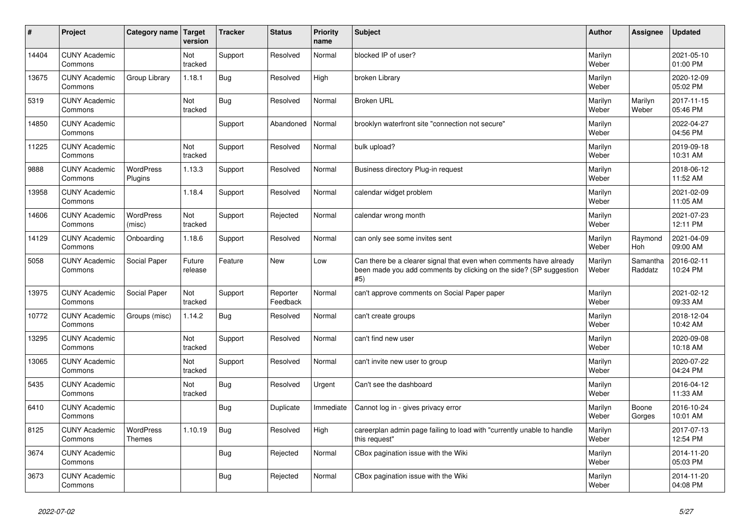| #     | Project                         | Category name   Target      | version           | <b>Tracker</b> | <b>Status</b>        | <b>Priority</b><br>name | <b>Subject</b>                                                                                                                                  | <b>Author</b>    | Assignee              | <b>Updated</b>         |
|-------|---------------------------------|-----------------------------|-------------------|----------------|----------------------|-------------------------|-------------------------------------------------------------------------------------------------------------------------------------------------|------------------|-----------------------|------------------------|
| 14404 | <b>CUNY Academic</b><br>Commons |                             | Not<br>tracked    | Support        | Resolved             | Normal                  | blocked IP of user?                                                                                                                             | Marilyn<br>Weber |                       | 2021-05-10<br>01:00 PM |
| 13675 | <b>CUNY Academic</b><br>Commons | Group Library               | 1.18.1            | Bug            | Resolved             | High                    | broken Library                                                                                                                                  | Marilyn<br>Weber |                       | 2020-12-09<br>05:02 PM |
| 5319  | <b>CUNY Academic</b><br>Commons |                             | Not<br>tracked    | Bug            | Resolved             | Normal                  | <b>Broken URL</b>                                                                                                                               | Marilyn<br>Weber | Marilyn<br>Weber      | 2017-11-15<br>05:46 PM |
| 14850 | <b>CUNY Academic</b><br>Commons |                             |                   | Support        | Abandoned            | Normal                  | brooklyn waterfront site "connection not secure"                                                                                                | Marilyn<br>Weber |                       | 2022-04-27<br>04:56 PM |
| 11225 | <b>CUNY Academic</b><br>Commons |                             | Not<br>tracked    | Support        | Resolved             | Normal                  | bulk upload?                                                                                                                                    | Marilyn<br>Weber |                       | 2019-09-18<br>10:31 AM |
| 9888  | <b>CUNY Academic</b><br>Commons | <b>WordPress</b><br>Plugins | 1.13.3            | Support        | Resolved             | Normal                  | Business directory Plug-in request                                                                                                              | Marilyn<br>Weber |                       | 2018-06-12<br>11:52 AM |
| 13958 | <b>CUNY Academic</b><br>Commons |                             | 1.18.4            | Support        | Resolved             | Normal                  | calendar widget problem                                                                                                                         | Marilyn<br>Weber |                       | 2021-02-09<br>11:05 AM |
| 14606 | <b>CUNY Academic</b><br>Commons | <b>WordPress</b><br>(misc)  | Not<br>tracked    | Support        | Rejected             | Normal                  | calendar wrong month                                                                                                                            | Marilyn<br>Weber |                       | 2021-07-23<br>12:11 PM |
| 14129 | <b>CUNY Academic</b><br>Commons | Onboarding                  | 1.18.6            | Support        | Resolved             | Normal                  | can only see some invites sent                                                                                                                  | Marilyn<br>Weber | Raymond<br><b>Hoh</b> | 2021-04-09<br>09:00 AM |
| 5058  | <b>CUNY Academic</b><br>Commons | Social Paper                | Future<br>release | Feature        | <b>New</b>           | Low                     | Can there be a clearer signal that even when comments have already<br>been made you add comments by clicking on the side? (SP suggestion<br>#5) | Marilyn<br>Weber | Samantha<br>Raddatz   | 2016-02-11<br>10:24 PM |
| 13975 | <b>CUNY Academic</b><br>Commons | Social Paper                | Not<br>tracked    | Support        | Reporter<br>Feedback | Normal                  | can't approve comments on Social Paper paper                                                                                                    | Marilyn<br>Weber |                       | 2021-02-12<br>09:33 AM |
| 10772 | <b>CUNY Academic</b><br>Commons | Groups (misc)               | 1.14.2            | Bug            | Resolved             | Normal                  | can't create groups                                                                                                                             | Marilyn<br>Weber |                       | 2018-12-04<br>10:42 AM |
| 13295 | <b>CUNY Academic</b><br>Commons |                             | Not<br>tracked    | Support        | Resolved             | Normal                  | can't find new user                                                                                                                             | Marilyn<br>Weber |                       | 2020-09-08<br>10:18 AM |
| 13065 | <b>CUNY Academic</b><br>Commons |                             | Not<br>tracked    | Support        | Resolved             | Normal                  | can't invite new user to group                                                                                                                  | Marilyn<br>Weber |                       | 2020-07-22<br>04:24 PM |
| 5435  | <b>CUNY Academic</b><br>Commons |                             | Not<br>tracked    | <b>Bug</b>     | Resolved             | Urgent                  | Can't see the dashboard                                                                                                                         | Marilyn<br>Weber |                       | 2016-04-12<br>11:33 AM |
| 6410  | <b>CUNY Academic</b><br>Commons |                             |                   | Bug            | Duplicate            | Immediate               | Cannot log in - gives privacy error                                                                                                             | Marilyn<br>Weber | Boone<br>Gorges       | 2016-10-24<br>10:01 AM |
| 8125  | <b>CUNY Academic</b><br>Commons | WordPress<br><b>Themes</b>  | 1.10.19           | Bug            | Resolved             | High                    | careerplan admin page failing to load with "currently unable to handle<br>this request"                                                         | Marilyn<br>Weber |                       | 2017-07-13<br>12:54 PM |
| 3674  | <b>CUNY Academic</b><br>Commons |                             |                   | Bug            | Rejected             | Normal                  | CBox pagination issue with the Wiki                                                                                                             | Marilyn<br>Weber |                       | 2014-11-20<br>05:03 PM |
| 3673  | <b>CUNY Academic</b><br>Commons |                             |                   | <b>Bug</b>     | Rejected             | Normal                  | CBox pagination issue with the Wiki                                                                                                             | Marilyn<br>Weber |                       | 2014-11-20<br>04:08 PM |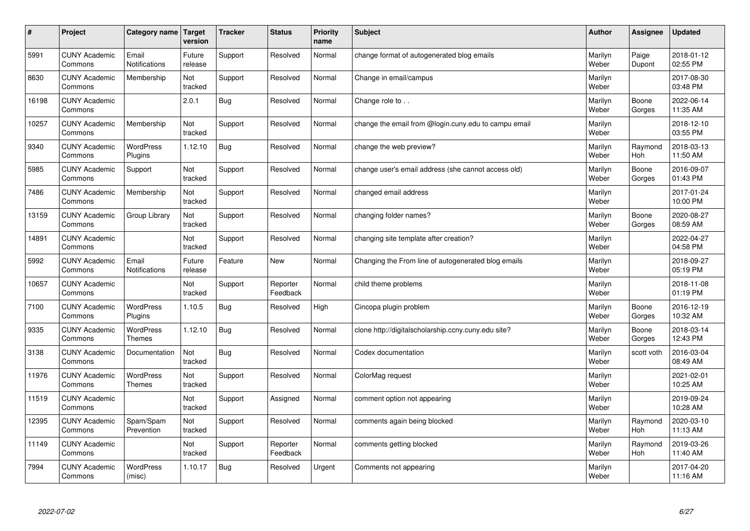| #     | Project                         | Category name   Target            | version           | <b>Tracker</b> | <b>Status</b>        | <b>Priority</b><br>name | <b>Subject</b>                                       | <b>Author</b>    | Assignee              | Updated                |
|-------|---------------------------------|-----------------------------------|-------------------|----------------|----------------------|-------------------------|------------------------------------------------------|------------------|-----------------------|------------------------|
| 5991  | <b>CUNY Academic</b><br>Commons | Email<br>Notifications            | Future<br>release | Support        | Resolved             | Normal                  | change format of autogenerated blog emails           | Marilyn<br>Weber | Paige<br>Dupont       | 2018-01-12<br>02:55 PM |
| 8630  | <b>CUNY Academic</b><br>Commons | Membership                        | Not<br>tracked    | Support        | Resolved             | Normal                  | Change in email/campus                               | Marilyn<br>Weber |                       | 2017-08-30<br>03:48 PM |
| 16198 | <b>CUNY Academic</b><br>Commons |                                   | 2.0.1             | Bug            | Resolved             | Normal                  | Change role to                                       | Marilyn<br>Weber | Boone<br>Gorges       | 2022-06-14<br>11:35 AM |
| 10257 | <b>CUNY Academic</b><br>Commons | Membership                        | Not<br>tracked    | Support        | Resolved             | Normal                  | change the email from @login.cuny.edu to campu email | Marilyn<br>Weber |                       | 2018-12-10<br>03:55 PM |
| 9340  | <b>CUNY Academic</b><br>Commons | <b>WordPress</b><br>Plugins       | 1.12.10           | Bug            | Resolved             | Normal                  | change the web preview?                              | Marilyn<br>Weber | Raymond<br>Hoh        | 2018-03-13<br>11:50 AM |
| 5985  | <b>CUNY Academic</b><br>Commons | Support                           | Not<br>tracked    | Support        | Resolved             | Normal                  | change user's email address (she cannot access old)  | Marilyn<br>Weber | Boone<br>Gorges       | 2016-09-07<br>01:43 PM |
| 7486  | <b>CUNY Academic</b><br>Commons | Membership                        | Not<br>tracked    | Support        | Resolved             | Normal                  | changed email address                                | Marilyn<br>Weber |                       | 2017-01-24<br>10:00 PM |
| 13159 | <b>CUNY Academic</b><br>Commons | Group Library                     | Not<br>tracked    | Support        | Resolved             | Normal                  | changing folder names?                               | Marilyn<br>Weber | Boone<br>Gorges       | 2020-08-27<br>08:59 AM |
| 14891 | <b>CUNY Academic</b><br>Commons |                                   | Not<br>tracked    | Support        | Resolved             | Normal                  | changing site template after creation?               | Marilyn<br>Weber |                       | 2022-04-27<br>04:58 PM |
| 5992  | <b>CUNY Academic</b><br>Commons | Email<br><b>Notifications</b>     | Future<br>release | Feature        | <b>New</b>           | Normal                  | Changing the From line of autogenerated blog emails  | Marilyn<br>Weber |                       | 2018-09-27<br>05:19 PM |
| 10657 | <b>CUNY Academic</b><br>Commons |                                   | Not<br>tracked    | Support        | Reporter<br>Feedback | Normal                  | child theme problems                                 | Marilyn<br>Weber |                       | 2018-11-08<br>01:19 PM |
| 7100  | <b>CUNY Academic</b><br>Commons | <b>WordPress</b><br>Plugins       | 1.10.5            | Bug            | Resolved             | High                    | Cincopa plugin problem                               | Marilyn<br>Weber | Boone<br>Gorges       | 2016-12-19<br>10:32 AM |
| 9335  | <b>CUNY Academic</b><br>Commons | <b>WordPress</b><br><b>Themes</b> | 1.12.10           | Bug            | Resolved             | Normal                  | clone http://digitalscholarship.ccny.cuny.edu site?  | Marilyn<br>Weber | Boone<br>Gorges       | 2018-03-14<br>12:43 PM |
| 3138  | <b>CUNY Academic</b><br>Commons | Documentation                     | Not<br>tracked    | Bug            | Resolved             | Normal                  | Codex documentation                                  | Marilyn<br>Weber | scott voth            | 2016-03-04<br>08:49 AM |
| 11976 | <b>CUNY Academic</b><br>Commons | <b>WordPress</b><br><b>Themes</b> | Not<br>tracked    | Support        | Resolved             | Normal                  | ColorMag request                                     | Marilyn<br>Weber |                       | 2021-02-01<br>10:25 AM |
| 11519 | <b>CUNY Academic</b><br>Commons |                                   | Not<br>tracked    | Support        | Assigned             | Normal                  | comment option not appearing                         | Marilyn<br>Weber |                       | 2019-09-24<br>10:28 AM |
| 12395 | <b>CUNY Academic</b><br>Commons | Spam/Spam<br>Prevention           | Not<br>tracked    | Support        | Resolved             | Normal                  | comments again being blocked                         | Marilyn<br>Weber | Raymond<br>Hoh        | 2020-03-10<br>11:13 AM |
| 11149 | <b>CUNY Academic</b><br>Commons |                                   | Not<br>tracked    | Support        | Reporter<br>Feedback | Normal                  | comments getting blocked                             | Marilyn<br>Weber | Raymond<br><b>Hoh</b> | 2019-03-26<br>11:40 AM |
| 7994  | <b>CUNY Academic</b><br>Commons | <b>WordPress</b><br>(misc)        | 1.10.17           | Bug            | Resolved             | Urgent                  | Comments not appearing                               | Marilyn<br>Weber |                       | 2017-04-20<br>11:16 AM |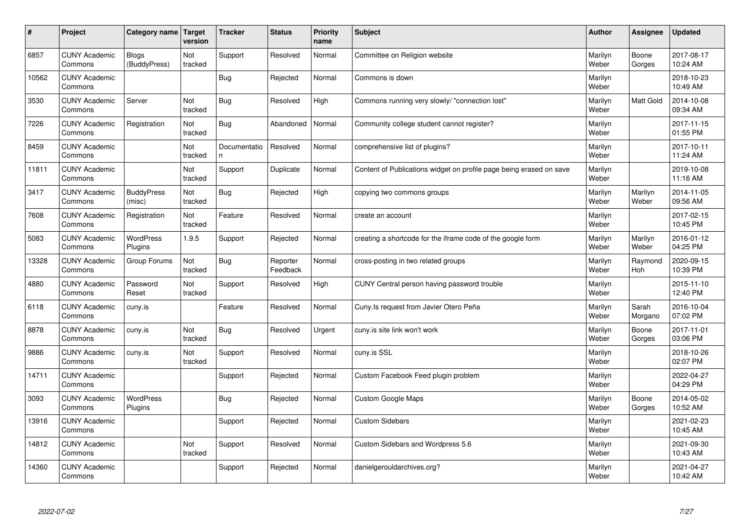| #     | Project                         | Category name                | Target<br>version | <b>Tracker</b>     | <b>Status</b>        | <b>Priority</b><br>name | <b>Subject</b>                                                      | <b>Author</b>    | Assignee         | Updated                |
|-------|---------------------------------|------------------------------|-------------------|--------------------|----------------------|-------------------------|---------------------------------------------------------------------|------------------|------------------|------------------------|
| 6857  | <b>CUNY Academic</b><br>Commons | <b>Blogs</b><br>(BuddyPress) | Not<br>tracked    | Support            | Resolved             | Normal                  | Committee on Religion website                                       | Marilyn<br>Weber | Boone<br>Gorges  | 2017-08-17<br>10:24 AM |
| 10562 | <b>CUNY Academic</b><br>Commons |                              |                   | Bug                | Rejected             | Normal                  | Commons is down                                                     | Marilyn<br>Weber |                  | 2018-10-23<br>10:49 AM |
| 3530  | <b>CUNY Academic</b><br>Commons | Server                       | Not<br>tracked    | Bug                | Resolved             | High                    | Commons running very slowly/ "connection lost"                      | Marilyn<br>Weber | <b>Matt Gold</b> | 2014-10-08<br>09:34 AM |
| 7226  | <b>CUNY Academic</b><br>Commons | Registration                 | Not<br>tracked    | Bug                | Abandoned            | Normal                  | Community college student cannot register?                          | Marilyn<br>Weber |                  | 2017-11-15<br>01:55 PM |
| 8459  | <b>CUNY Academic</b><br>Commons |                              | Not<br>tracked    | Documentatio<br>n. | Resolved             | Normal                  | comprehensive list of plugins?                                      | Marilyn<br>Weber |                  | 2017-10-11<br>11:24 AM |
| 11811 | <b>CUNY Academic</b><br>Commons |                              | Not<br>tracked    | Support            | Duplicate            | Normal                  | Content of Publications widget on profile page being erased on save | Marilyn<br>Weber |                  | 2019-10-08<br>11:16 AM |
| 3417  | <b>CUNY Academic</b><br>Commons | <b>BuddyPress</b><br>(misc)  | Not<br>tracked    | Bug                | Rejected             | High                    | copying two commons groups                                          | Marilyn<br>Weber | Marilyn<br>Weber | 2014-11-05<br>09:56 AM |
| 7608  | <b>CUNY Academic</b><br>Commons | Registration                 | Not<br>tracked    | Feature            | Resolved             | Normal                  | create an account                                                   | Marilyn<br>Weber |                  | 2017-02-15<br>10:45 PM |
| 5083  | <b>CUNY Academic</b><br>Commons | <b>WordPress</b><br>Plugins  | 1.9.5             | Support            | Rejected             | Normal                  | creating a shortcode for the iframe code of the google form         | Marilyn<br>Weber | Marilyn<br>Weber | 2016-01-12<br>04:25 PM |
| 13328 | <b>CUNY Academic</b><br>Commons | Group Forums                 | Not<br>tracked    | Bug                | Reporter<br>Feedback | Normal                  | cross-posting in two related groups                                 | Marilyn<br>Weber | Raymond<br>Hoh   | 2020-09-15<br>10:39 PM |
| 4880  | <b>CUNY Academic</b><br>Commons | Password<br>Reset            | Not<br>tracked    | Support            | Resolved             | High                    | CUNY Central person having password trouble                         | Marilyn<br>Weber |                  | 2015-11-10<br>12:40 PM |
| 6118  | <b>CUNY Academic</b><br>Commons | cuny.is                      |                   | Feature            | Resolved             | Normal                  | Cuny. Is request from Javier Otero Peña                             | Marilyn<br>Weber | Sarah<br>Morgano | 2016-10-04<br>07:02 PM |
| 8878  | <b>CUNY Academic</b><br>Commons | cuny.is                      | Not<br>tracked    | Bug                | Resolved             | Urgent                  | cuny is site link won't work                                        | Marilyn<br>Weber | Boone<br>Gorges  | 2017-11-01<br>03:06 PM |
| 9886  | <b>CUNY Academic</b><br>Commons | cuny.is                      | Not<br>tracked    | Support            | Resolved             | Normal                  | cuny.is SSL                                                         | Marilyn<br>Weber |                  | 2018-10-26<br>02:07 PM |
| 14711 | <b>CUNY Academic</b><br>Commons |                              |                   | Support            | Rejected             | Normal                  | Custom Facebook Feed plugin problem                                 | Marilyn<br>Weber |                  | 2022-04-27<br>04:29 PM |
| 3093  | <b>CUNY Academic</b><br>Commons | <b>WordPress</b><br>Plugins  |                   | Bug                | Rejected             | Normal                  | <b>Custom Google Maps</b>                                           | Marilyn<br>Weber | Boone<br>Gorges  | 2014-05-02<br>10:52 AM |
| 13916 | <b>CUNY Academic</b><br>Commons |                              |                   | Support            | Rejected             | Normal                  | <b>Custom Sidebars</b>                                              | Marilyn<br>Weber |                  | 2021-02-23<br>10:45 AM |
| 14812 | <b>CUNY Academic</b><br>Commons |                              | Not<br>tracked    | Support            | Resolved             | Normal                  | Custom Sidebars and Wordpress 5.6                                   | Marilyn<br>Weber |                  | 2021-09-30<br>10:43 AM |
| 14360 | <b>CUNY Academic</b><br>Commons |                              |                   | Support            | Rejected             | Normal                  | danielgerouldarchives.org?                                          | Marilyn<br>Weber |                  | 2021-04-27<br>10:42 AM |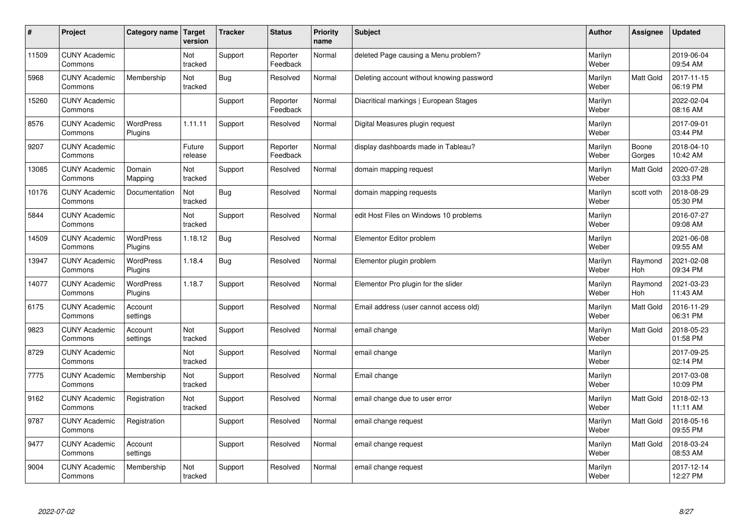| $\sharp$ | Project                         | Category name               | Target<br>version | <b>Tracker</b> | <b>Status</b>        | <b>Priority</b><br>name | <b>Subject</b>                            | <b>Author</b>    | Assignee         | <b>Updated</b>         |
|----------|---------------------------------|-----------------------------|-------------------|----------------|----------------------|-------------------------|-------------------------------------------|------------------|------------------|------------------------|
| 11509    | <b>CUNY Academic</b><br>Commons |                             | Not<br>tracked    | Support        | Reporter<br>Feedback | Normal                  | deleted Page causing a Menu problem?      | Marilyn<br>Weber |                  | 2019-06-04<br>09:54 AM |
| 5968     | <b>CUNY Academic</b><br>Commons | Membership                  | Not<br>tracked    | Bug            | Resolved             | Normal                  | Deleting account without knowing password | Marilyn<br>Weber | <b>Matt Gold</b> | 2017-11-15<br>06:19 PM |
| 15260    | <b>CUNY Academic</b><br>Commons |                             |                   | Support        | Reporter<br>Feedback | Normal                  | Diacritical markings   European Stages    | Marilyn<br>Weber |                  | 2022-02-04<br>08:16 AM |
| 8576     | <b>CUNY Academic</b><br>Commons | <b>WordPress</b><br>Plugins | 1.11.11           | Support        | Resolved             | Normal                  | Digital Measures plugin request           | Marilyn<br>Weber |                  | 2017-09-01<br>03:44 PM |
| 9207     | <b>CUNY Academic</b><br>Commons |                             | Future<br>release | Support        | Reporter<br>Feedback | Normal                  | display dashboards made in Tableau?       | Marilyn<br>Weber | Boone<br>Gorges  | 2018-04-10<br>10:42 AM |
| 13085    | <b>CUNY Academic</b><br>Commons | Domain<br>Mapping           | Not<br>tracked    | Support        | Resolved             | Normal                  | domain mapping request                    | Marilyn<br>Weber | <b>Matt Gold</b> | 2020-07-28<br>03:33 PM |
| 10176    | <b>CUNY Academic</b><br>Commons | Documentation               | Not<br>tracked    | Bug            | Resolved             | Normal                  | domain mapping requests                   | Marilyn<br>Weber | scott voth       | 2018-08-29<br>05:30 PM |
| 5844     | <b>CUNY Academic</b><br>Commons |                             | Not<br>tracked    | Support        | Resolved             | Normal                  | edit Host Files on Windows 10 problems    | Marilyn<br>Weber |                  | 2016-07-27<br>09:08 AM |
| 14509    | <b>CUNY Academic</b><br>Commons | WordPress<br>Plugins        | 1.18.12           | Bug            | Resolved             | Normal                  | Elementor Editor problem                  | Marilyn<br>Weber |                  | 2021-06-08<br>09:55 AM |
| 13947    | <b>CUNY Academic</b><br>Commons | WordPress<br>Plugins        | 1.18.4            | Bug            | Resolved             | Normal                  | Elementor plugin problem                  | Marilyn<br>Weber | Raymond<br>Hoh   | 2021-02-08<br>09:34 PM |
| 14077    | <b>CUNY Academic</b><br>Commons | <b>WordPress</b><br>Plugins | 1.18.7            | Support        | Resolved             | Normal                  | Elementor Pro plugin for the slider       | Marilyn<br>Weber | Raymond<br>Hoh   | 2021-03-23<br>11:43 AM |
| 6175     | <b>CUNY Academic</b><br>Commons | Account<br>settings         |                   | Support        | Resolved             | Normal                  | Email address (user cannot access old)    | Marilyn<br>Weber | <b>Matt Gold</b> | 2016-11-29<br>06:31 PM |
| 9823     | <b>CUNY Academic</b><br>Commons | Account<br>settings         | Not<br>tracked    | Support        | Resolved             | Normal                  | email change                              | Marilyn<br>Weber | Matt Gold        | 2018-05-23<br>01:58 PM |
| 8729     | <b>CUNY Academic</b><br>Commons |                             | Not<br>tracked    | Support        | Resolved             | Normal                  | email change                              | Marilyn<br>Weber |                  | 2017-09-25<br>02:14 PM |
| 7775     | <b>CUNY Academic</b><br>Commons | Membership                  | Not<br>tracked    | Support        | Resolved             | Normal                  | Email change                              | Marilyn<br>Weber |                  | 2017-03-08<br>10:09 PM |
| 9162     | <b>CUNY Academic</b><br>Commons | Registration                | Not<br>tracked    | Support        | Resolved             | Normal                  | email change due to user error            | Marilyn<br>Weber | <b>Matt Gold</b> | 2018-02-13<br>11:11 AM |
| 9787     | <b>CUNY Academic</b><br>Commons | Registration                |                   | Support        | Resolved             | Normal                  | email change request                      | Marilyn<br>Weber | <b>Matt Gold</b> | 2018-05-16<br>09:55 PM |
| 9477     | <b>CUNY Academic</b><br>Commons | Account<br>settings         |                   | Support        | Resolved             | Normal                  | email change request                      | Marilyn<br>Weber | <b>Matt Gold</b> | 2018-03-24<br>08:53 AM |
| 9004     | <b>CUNY Academic</b><br>Commons | Membership                  | Not<br>tracked    | Support        | Resolved             | Normal                  | email change request                      | Marilyn<br>Weber |                  | 2017-12-14<br>12:27 PM |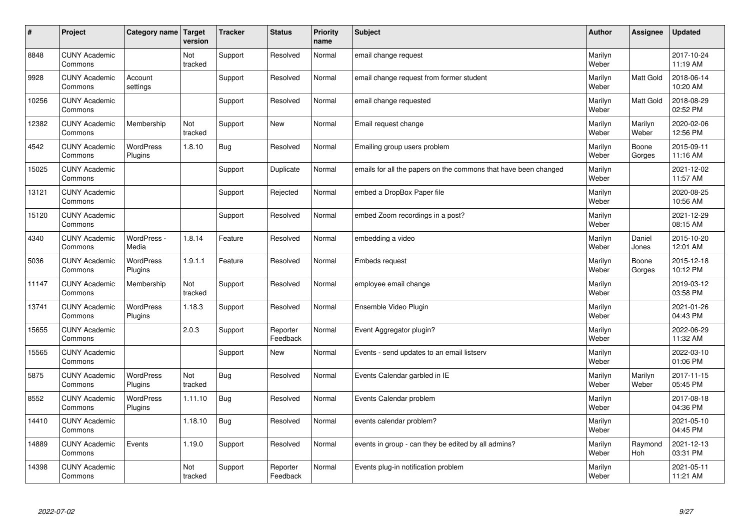| #     | Project                         | Category name   Target | version        | <b>Tracker</b> | <b>Status</b>        | <b>Priority</b><br>name | <b>Subject</b>                                                  | <b>Author</b>    | Assignee         | <b>Updated</b>         |
|-------|---------------------------------|------------------------|----------------|----------------|----------------------|-------------------------|-----------------------------------------------------------------|------------------|------------------|------------------------|
| 8848  | <b>CUNY Academic</b><br>Commons |                        | Not<br>tracked | Support        | Resolved             | Normal                  | email change request                                            | Marilyn<br>Weber |                  | 2017-10-24<br>11:19 AM |
| 9928  | <b>CUNY Academic</b><br>Commons | Account<br>settings    |                | Support        | Resolved             | Normal                  | email change request from former student                        | Marilyn<br>Weber | <b>Matt Gold</b> | 2018-06-14<br>10:20 AM |
| 10256 | <b>CUNY Academic</b><br>Commons |                        |                | Support        | Resolved             | Normal                  | email change requested                                          | Marilyn<br>Weber | Matt Gold        | 2018-08-29<br>02:52 PM |
| 12382 | <b>CUNY Academic</b><br>Commons | Membership             | Not<br>tracked | Support        | <b>New</b>           | Normal                  | Email request change                                            | Marilyn<br>Weber | Marilyn<br>Weber | 2020-02-06<br>12:56 PM |
| 4542  | <b>CUNY Academic</b><br>Commons | WordPress<br>Plugins   | 1.8.10         | Bug            | Resolved             | Normal                  | Emailing group users problem                                    | Marilyn<br>Weber | Boone<br>Gorges  | 2015-09-11<br>11:16 AM |
| 15025 | <b>CUNY Academic</b><br>Commons |                        |                | Support        | Duplicate            | Normal                  | emails for all the papers on the commons that have been changed | Marilyn<br>Weber |                  | 2021-12-02<br>11:57 AM |
| 13121 | <b>CUNY Academic</b><br>Commons |                        |                | Support        | Rejected             | Normal                  | embed a DropBox Paper file                                      | Marilyn<br>Weber |                  | 2020-08-25<br>10:56 AM |
| 15120 | <b>CUNY Academic</b><br>Commons |                        |                | Support        | Resolved             | Normal                  | embed Zoom recordings in a post?                                | Marilyn<br>Weber |                  | 2021-12-29<br>08:15 AM |
| 4340  | <b>CUNY Academic</b><br>Commons | WordPress -<br>Media   | 1.8.14         | Feature        | Resolved             | Normal                  | embedding a video                                               | Marilyn<br>Weber | Daniel<br>Jones  | 2015-10-20<br>12:01 AM |
| 5036  | <b>CUNY Academic</b><br>Commons | WordPress<br>Plugins   | 1.9.1.1        | Feature        | Resolved             | Normal                  | <b>Embeds request</b>                                           | Marilyn<br>Weber | Boone<br>Gorges  | 2015-12-18<br>10:12 PM |
| 11147 | <b>CUNY Academic</b><br>Commons | Membership             | Not<br>tracked | Support        | Resolved             | Normal                  | employee email change                                           | Marilyn<br>Weber |                  | 2019-03-12<br>03:58 PM |
| 13741 | <b>CUNY Academic</b><br>Commons | WordPress<br>Plugins   | 1.18.3         | Support        | Resolved             | Normal                  | Ensemble Video Plugin                                           | Marilyn<br>Weber |                  | 2021-01-26<br>04:43 PM |
| 15655 | <b>CUNY Academic</b><br>Commons |                        | 2.0.3          | Support        | Reporter<br>Feedback | Normal                  | Event Aggregator plugin?                                        | Marilyn<br>Weber |                  | 2022-06-29<br>11:32 AM |
| 15565 | <b>CUNY Academic</b><br>Commons |                        |                | Support        | <b>New</b>           | Normal                  | Events - send updates to an email listserv                      | Marilyn<br>Weber |                  | 2022-03-10<br>01:06 PM |
| 5875  | <b>CUNY Academic</b><br>Commons | WordPress<br>Plugins   | Not<br>tracked | <b>Bug</b>     | Resolved             | Normal                  | Events Calendar garbled in IE                                   | Marilyn<br>Weber | Marilyn<br>Weber | 2017-11-15<br>05:45 PM |
| 8552  | <b>CUNY Academic</b><br>Commons | WordPress<br>Plugins   | 1.11.10        | Bug            | Resolved             | Normal                  | Events Calendar problem                                         | Marilyn<br>Weber |                  | 2017-08-18<br>04:36 PM |
| 14410 | <b>CUNY Academic</b><br>Commons |                        | 1.18.10        | <b>Bug</b>     | Resolved             | Normal                  | events calendar problem?                                        | Marilyn<br>Weber |                  | 2021-05-10<br>04:45 PM |
| 14889 | <b>CUNY Academic</b><br>Commons | Events                 | 1.19.0         | Support        | Resolved             | Normal                  | events in group - can they be edited by all admins?             | Marilyn<br>Weber | Raymond<br>Hoh   | 2021-12-13<br>03:31 PM |
| 14398 | <b>CUNY Academic</b><br>Commons |                        | Not<br>tracked | Support        | Reporter<br>Feedback | Normal                  | Events plug-in notification problem                             | Marilyn<br>Weber |                  | 2021-05-11<br>11:21 AM |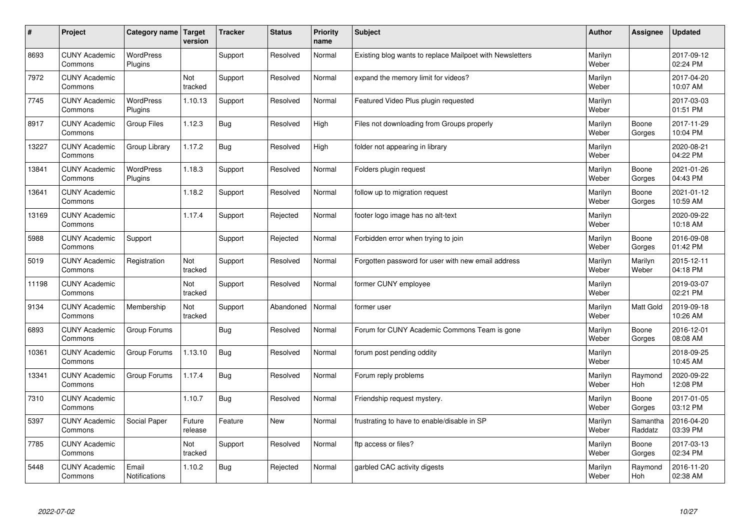| $\sharp$ | Project                         | Category name   Target        | version           | <b>Tracker</b> | <b>Status</b> | <b>Priority</b><br>name | <b>Subject</b>                                           | <b>Author</b>    | Assignee              | <b>Updated</b>         |
|----------|---------------------------------|-------------------------------|-------------------|----------------|---------------|-------------------------|----------------------------------------------------------|------------------|-----------------------|------------------------|
| 8693     | <b>CUNY Academic</b><br>Commons | <b>WordPress</b><br>Plugins   |                   | Support        | Resolved      | Normal                  | Existing blog wants to replace Mailpoet with Newsletters | Marilyn<br>Weber |                       | 2017-09-12<br>02:24 PM |
| 7972     | <b>CUNY Academic</b><br>Commons |                               | Not<br>tracked    | Support        | Resolved      | Normal                  | expand the memory limit for videos?                      | Marilyn<br>Weber |                       | 2017-04-20<br>10:07 AM |
| 7745     | <b>CUNY Academic</b><br>Commons | <b>WordPress</b><br>Plugins   | 1.10.13           | Support        | Resolved      | Normal                  | Featured Video Plus plugin requested                     | Marilyn<br>Weber |                       | 2017-03-03<br>01:51 PM |
| 8917     | <b>CUNY Academic</b><br>Commons | <b>Group Files</b>            | 1.12.3            | <b>Bug</b>     | Resolved      | High                    | Files not downloading from Groups properly               | Marilyn<br>Weber | Boone<br>Gorges       | 2017-11-29<br>10:04 PM |
| 13227    | <b>CUNY Academic</b><br>Commons | Group Library                 | 1.17.2            | Bug            | Resolved      | High                    | folder not appearing in library                          | Marilyn<br>Weber |                       | 2020-08-21<br>04:22 PM |
| 13841    | <b>CUNY Academic</b><br>Commons | <b>WordPress</b><br>Plugins   | 1.18.3            | Support        | Resolved      | Normal                  | Folders plugin request                                   | Marilyn<br>Weber | Boone<br>Gorges       | 2021-01-26<br>04:43 PM |
| 13641    | <b>CUNY Academic</b><br>Commons |                               | 1.18.2            | Support        | Resolved      | Normal                  | follow up to migration request                           | Marilyn<br>Weber | Boone<br>Gorges       | 2021-01-12<br>10:59 AM |
| 13169    | <b>CUNY Academic</b><br>Commons |                               | 1.17.4            | Support        | Rejected      | Normal                  | footer logo image has no alt-text                        | Marilyn<br>Weber |                       | 2020-09-22<br>10:18 AM |
| 5988     | <b>CUNY Academic</b><br>Commons | Support                       |                   | Support        | Rejected      | Normal                  | Forbidden error when trying to join                      | Marilyn<br>Weber | Boone<br>Gorges       | 2016-09-08<br>01:42 PM |
| 5019     | <b>CUNY Academic</b><br>Commons | Registration                  | Not<br>tracked    | Support        | Resolved      | Normal                  | Forgotten password for user with new email address       | Marilyn<br>Weber | Marilyn<br>Weber      | 2015-12-11<br>04:18 PM |
| 11198    | <b>CUNY Academic</b><br>Commons |                               | Not<br>tracked    | Support        | Resolved      | Normal                  | former CUNY employee                                     | Marilyn<br>Weber |                       | 2019-03-07<br>02:21 PM |
| 9134     | <b>CUNY Academic</b><br>Commons | Membership                    | Not<br>tracked    | Support        | Abandoned     | Normal                  | former user                                              | Marilyn<br>Weber | Matt Gold             | 2019-09-18<br>10:26 AM |
| 6893     | <b>CUNY Academic</b><br>Commons | Group Forums                  |                   | Bug            | Resolved      | Normal                  | Forum for CUNY Academic Commons Team is gone             | Marilyn<br>Weber | Boone<br>Gorges       | 2016-12-01<br>08:08 AM |
| 10361    | <b>CUNY Academic</b><br>Commons | Group Forums                  | 1.13.10           | Bug            | Resolved      | Normal                  | forum post pending oddity                                | Marilyn<br>Weber |                       | 2018-09-25<br>10:45 AM |
| 13341    | <b>CUNY Academic</b><br>Commons | Group Forums                  | 1.17.4            | Bug            | Resolved      | Normal                  | Forum reply problems                                     | Marilyn<br>Weber | Raymond<br><b>Hoh</b> | 2020-09-22<br>12:08 PM |
| 7310     | <b>CUNY Academic</b><br>Commons |                               | 1.10.7            | Bug            | Resolved      | Normal                  | Friendship request mystery.                              | Marilyn<br>Weber | Boone<br>Gorges       | 2017-01-05<br>03:12 PM |
| 5397     | <b>CUNY Academic</b><br>Commons | Social Paper                  | Future<br>release | Feature        | <b>New</b>    | Normal                  | frustrating to have to enable/disable in SP              | Marilyn<br>Weber | Samantha<br>Raddatz   | 2016-04-20<br>03:39 PM |
| 7785     | <b>CUNY Academic</b><br>Commons |                               | Not<br>tracked    | Support        | Resolved      | Normal                  | ftp access or files?                                     | Marilyn<br>Weber | Boone<br>Gorges       | 2017-03-13<br>02:34 PM |
| 5448     | <b>CUNY Academic</b><br>Commons | Email<br><b>Notifications</b> | 1.10.2            | Bug            | Rejected      | Normal                  | garbled CAC activity digests                             | Marilyn<br>Weber | Raymond<br>Hoh        | 2016-11-20<br>02:38 AM |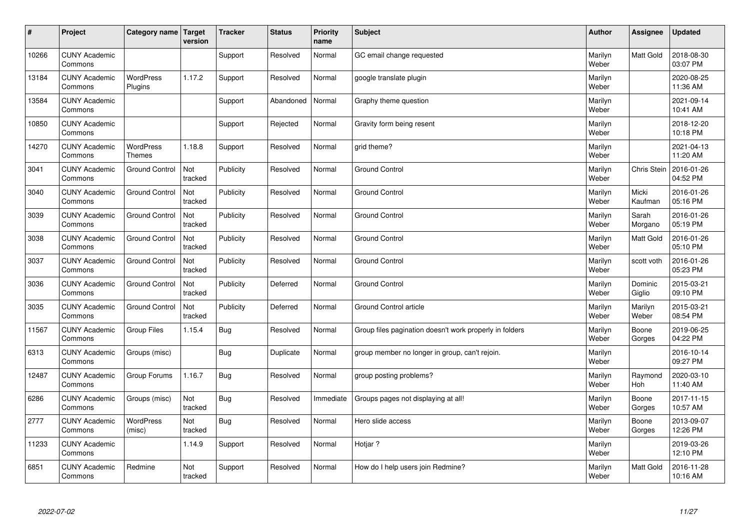| #     | Project                         | Category name   Target            | version        | <b>Tracker</b> | <b>Status</b> | <b>Priority</b><br>name | <b>Subject</b>                                          | <b>Author</b>    | Assignee              | <b>Updated</b>         |
|-------|---------------------------------|-----------------------------------|----------------|----------------|---------------|-------------------------|---------------------------------------------------------|------------------|-----------------------|------------------------|
| 10266 | <b>CUNY Academic</b><br>Commons |                                   |                | Support        | Resolved      | Normal                  | GC email change requested                               | Marilyn<br>Weber | Matt Gold             | 2018-08-30<br>03:07 PM |
| 13184 | <b>CUNY Academic</b><br>Commons | <b>WordPress</b><br>Plugins       | 1.17.2         | Support        | Resolved      | Normal                  | google translate plugin                                 | Marilyn<br>Weber |                       | 2020-08-25<br>11:36 AM |
| 13584 | <b>CUNY Academic</b><br>Commons |                                   |                | Support        | Abandoned     | Normal                  | Graphy theme question                                   | Marilyn<br>Weber |                       | 2021-09-14<br>10:41 AM |
| 10850 | <b>CUNY Academic</b><br>Commons |                                   |                | Support        | Rejected      | Normal                  | Gravity form being resent                               | Marilyn<br>Weber |                       | 2018-12-20<br>10:18 PM |
| 14270 | <b>CUNY Academic</b><br>Commons | <b>WordPress</b><br><b>Themes</b> | 1.18.8         | Support        | Resolved      | Normal                  | grid theme?                                             | Marilyn<br>Weber |                       | 2021-04-13<br>11:20 AM |
| 3041  | <b>CUNY Academic</b><br>Commons | <b>Ground Control</b>             | Not<br>tracked | Publicity      | Resolved      | Normal                  | <b>Ground Control</b>                                   | Marilyn<br>Weber | Chris Stein           | 2016-01-26<br>04:52 PM |
| 3040  | <b>CUNY Academic</b><br>Commons | <b>Ground Control</b>             | Not<br>tracked | Publicity      | Resolved      | Normal                  | Ground Control                                          | Marilyn<br>Weber | Micki<br>Kaufman      | 2016-01-26<br>05:16 PM |
| 3039  | <b>CUNY Academic</b><br>Commons | <b>Ground Control</b>             | Not<br>tracked | Publicity      | Resolved      | Normal                  | Ground Control                                          | Marilyn<br>Weber | Sarah<br>Morgano      | 2016-01-26<br>05:19 PM |
| 3038  | <b>CUNY Academic</b><br>Commons | <b>Ground Control</b>             | Not<br>tracked | Publicity      | Resolved      | Normal                  | <b>Ground Control</b>                                   | Marilyn<br>Weber | <b>Matt Gold</b>      | 2016-01-26<br>05:10 PM |
| 3037  | <b>CUNY Academic</b><br>Commons | <b>Ground Control</b>             | Not<br>tracked | Publicity      | Resolved      | Normal                  | Ground Control                                          | Marilyn<br>Weber | scott voth            | 2016-01-26<br>05:23 PM |
| 3036  | <b>CUNY Academic</b><br>Commons | <b>Ground Control</b>             | Not<br>tracked | Publicity      | Deferred      | Normal                  | Ground Control                                          | Marilyn<br>Weber | Dominic<br>Giglio     | 2015-03-21<br>09:10 PM |
| 3035  | <b>CUNY Academic</b><br>Commons | <b>Ground Control</b>             | Not<br>tracked | Publicity      | Deferred      | Normal                  | Ground Control article                                  | Marilyn<br>Weber | Marilyn<br>Weber      | 2015-03-21<br>08:54 PM |
| 11567 | <b>CUNY Academic</b><br>Commons | <b>Group Files</b>                | 1.15.4         | Bug            | Resolved      | Normal                  | Group files pagination doesn't work properly in folders | Marilyn<br>Weber | Boone<br>Gorges       | 2019-06-25<br>04:22 PM |
| 6313  | <b>CUNY Academic</b><br>Commons | Groups (misc)                     |                | Bug            | Duplicate     | Normal                  | group member no longer in group, can't rejoin.          | Marilyn<br>Weber |                       | 2016-10-14<br>09:27 PM |
| 12487 | <b>CUNY Academic</b><br>Commons | Group Forums                      | 1.16.7         | Bug            | Resolved      | Normal                  | group posting problems?                                 | Marilyn<br>Weber | Raymond<br><b>Hoh</b> | 2020-03-10<br>11:40 AM |
| 6286  | <b>CUNY Academic</b><br>Commons | Groups (misc)                     | Not<br>tracked | Bug            | Resolved      | Immediate               | Groups pages not displaying at all!                     | Marilyn<br>Weber | Boone<br>Gorges       | 2017-11-15<br>10:57 AM |
| 2777  | <b>CUNY Academic</b><br>Commons | WordPress<br>(misc)               | Not<br>tracked | Bug            | Resolved      | Normal                  | Hero slide access                                       | Marilyn<br>Weber | Boone<br>Gorges       | 2013-09-07<br>12:26 PM |
| 11233 | <b>CUNY Academic</b><br>Commons |                                   | 1.14.9         | Support        | Resolved      | Normal                  | Hotjar ?                                                | Marilyn<br>Weber |                       | 2019-03-26<br>12:10 PM |
| 6851  | <b>CUNY Academic</b><br>Commons | Redmine                           | Not<br>tracked | Support        | Resolved      | Normal                  | How do I help users join Redmine?                       | Marilyn<br>Weber | <b>Matt Gold</b>      | 2016-11-28<br>10:16 AM |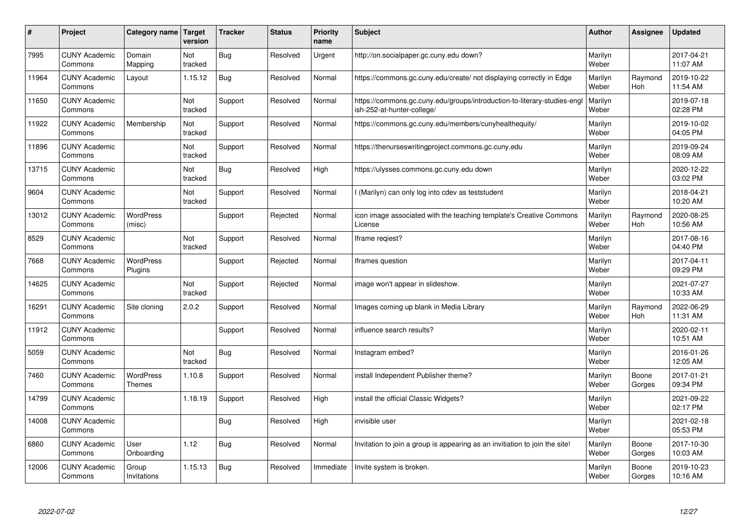| #     | Project                         | Category name   Target            | version        | <b>Tracker</b> | <b>Status</b> | <b>Priority</b><br>name | <b>Subject</b>                                                                                        | <b>Author</b>    | <b>Assignee</b>       | <b>Updated</b>         |
|-------|---------------------------------|-----------------------------------|----------------|----------------|---------------|-------------------------|-------------------------------------------------------------------------------------------------------|------------------|-----------------------|------------------------|
| 7995  | <b>CUNY Academic</b><br>Commons | Domain<br>Mapping                 | Not<br>tracked | Bug            | Resolved      | Urgent                  | http://on.socialpaper.gc.cuny.edu down?                                                               | Marilyn<br>Weber |                       | 2017-04-21<br>11:07 AM |
| 11964 | <b>CUNY Academic</b><br>Commons | Layout                            | 1.15.12        | Bug            | Resolved      | Normal                  | https://commons.gc.cuny.edu/create/ not displaying correctly in Edge                                  | Marilyn<br>Weber | Raymond<br>Hoh        | 2019-10-22<br>11:54 AM |
| 11650 | <b>CUNY Academic</b><br>Commons |                                   | Not<br>tracked | Support        | Resolved      | Normal                  | https://commons.gc.cuny.edu/groups/introduction-to-literary-studies-eng<br>ish-252-at-hunter-college/ | Marilyn<br>Weber |                       | 2019-07-18<br>02:28 PM |
| 11922 | <b>CUNY Academic</b><br>Commons | Membership                        | Not<br>tracked | Support        | Resolved      | Normal                  | https://commons.gc.cuny.edu/members/cunyhealthequity/                                                 | Marilyn<br>Weber |                       | 2019-10-02<br>04:05 PM |
| 11896 | <b>CUNY Academic</b><br>Commons |                                   | Not<br>tracked | Support        | Resolved      | Normal                  | https://thenurseswritingproject.commons.gc.cuny.edu                                                   | Marilyn<br>Weber |                       | 2019-09-24<br>08:09 AM |
| 13715 | <b>CUNY Academic</b><br>Commons |                                   | Not<br>tracked | Bug            | Resolved      | High                    | https://ulysses.commons.gc.cuny.edu down                                                              | Marilyn<br>Weber |                       | 2020-12-22<br>03:02 PM |
| 9604  | <b>CUNY Academic</b><br>Commons |                                   | Not<br>tracked | Support        | Resolved      | Normal                  | I (Marilyn) can only log into cdev as teststudent                                                     | Marilyn<br>Weber |                       | 2018-04-21<br>10:20 AM |
| 13012 | <b>CUNY Academic</b><br>Commons | WordPress<br>(misc)               |                | Support        | Rejected      | Normal                  | icon image associated with the teaching template's Creative Commons<br>License                        | Marilyn<br>Weber | Raymond<br><b>Hoh</b> | 2020-08-25<br>10:56 AM |
| 8529  | <b>CUNY Academic</b><br>Commons |                                   | Not<br>tracked | Support        | Resolved      | Normal                  | Iframe regiest?                                                                                       | Marilyn<br>Weber |                       | 2017-08-16<br>04:40 PM |
| 7668  | <b>CUNY Academic</b><br>Commons | <b>WordPress</b><br>Plugins       |                | Support        | Rejected      | Normal                  | Iframes question                                                                                      | Marilyn<br>Weber |                       | 2017-04-11<br>09:29 PM |
| 14625 | <b>CUNY Academic</b><br>Commons |                                   | Not<br>tracked | Support        | Rejected      | Normal                  | image won't appear in slideshow.                                                                      | Marilyn<br>Weber |                       | 2021-07-27<br>10:33 AM |
| 16291 | <b>CUNY Academic</b><br>Commons | Site cloning                      | 2.0.2          | Support        | Resolved      | Normal                  | Images coming up blank in Media Library                                                               | Marilyn<br>Weber | Raymond<br><b>Hoh</b> | 2022-06-29<br>11:31 AM |
| 11912 | <b>CUNY Academic</b><br>Commons |                                   |                | Support        | Resolved      | Normal                  | influence search results?                                                                             | Marilyn<br>Weber |                       | 2020-02-11<br>10:51 AM |
| 5059  | <b>CUNY Academic</b><br>Commons |                                   | Not<br>tracked | Bug            | Resolved      | Normal                  | Instagram embed?                                                                                      | Marilyn<br>Weber |                       | 2016-01-26<br>12:05 AM |
| 7460  | <b>CUNY Academic</b><br>Commons | <b>WordPress</b><br><b>Themes</b> | 1.10.8         | Support        | Resolved      | Normal                  | install Independent Publisher theme?                                                                  | Marilyn<br>Weber | Boone<br>Gorges       | 2017-01-21<br>09:34 PM |
| 14799 | <b>CUNY Academic</b><br>Commons |                                   | 1.18.19        | Support        | Resolved      | High                    | install the official Classic Widgets?                                                                 | Marilyn<br>Weber |                       | 2021-09-22<br>02:17 PM |
| 14008 | <b>CUNY Academic</b><br>Commons |                                   |                | Bug            | Resolved      | High                    | invisible user                                                                                        | Marilyn<br>Weber |                       | 2021-02-18<br>05:53 PM |
| 6860  | <b>CUNY Academic</b><br>Commons | User<br>Onboarding                | 1.12           | Bug            | Resolved      | Normal                  | Invitation to join a group is appearing as an invitiation to join the site!                           | Marilyn<br>Weber | Boone<br>Gorges       | 2017-10-30<br>10:03 AM |
| 12006 | <b>CUNY Academic</b><br>Commons | Group<br>Invitations              | 1.15.13        | Bug            | Resolved      | Immediate               | Invite system is broken.                                                                              | Marilyn<br>Weber | Boone<br>Gorges       | 2019-10-23<br>10:16 AM |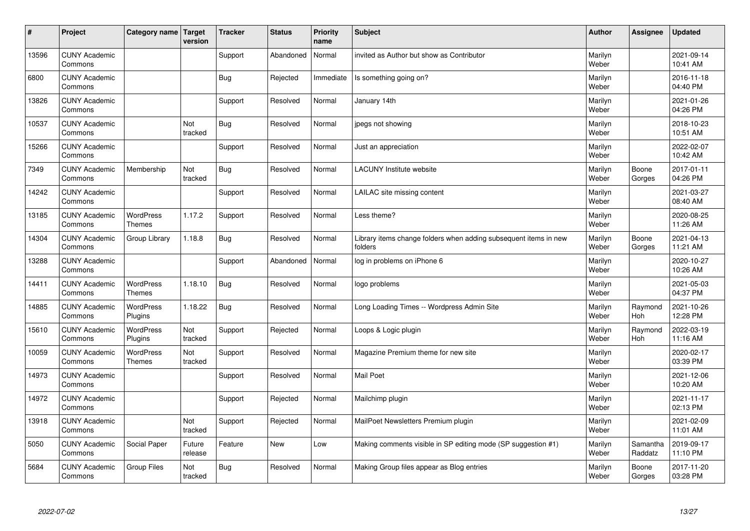| $\sharp$ | Project                         | Category name   Target            | version           | <b>Tracker</b> | <b>Status</b> | <b>Priority</b><br>name | <b>Subject</b>                                                              | <b>Author</b>    | Assignee              | <b>Updated</b>         |
|----------|---------------------------------|-----------------------------------|-------------------|----------------|---------------|-------------------------|-----------------------------------------------------------------------------|------------------|-----------------------|------------------------|
| 13596    | <b>CUNY Academic</b><br>Commons |                                   |                   | Support        | Abandoned     | Normal                  | invited as Author but show as Contributor                                   | Marilyn<br>Weber |                       | 2021-09-14<br>10:41 AM |
| 6800     | <b>CUNY Academic</b><br>Commons |                                   |                   | Bug            | Rejected      | Immediate               | Is something going on?                                                      | Marilyn<br>Weber |                       | 2016-11-18<br>04:40 PM |
| 13826    | <b>CUNY Academic</b><br>Commons |                                   |                   | Support        | Resolved      | Normal                  | January 14th                                                                | Marilyn<br>Weber |                       | 2021-01-26<br>04:26 PM |
| 10537    | <b>CUNY Academic</b><br>Commons |                                   | Not<br>tracked    | <b>Bug</b>     | Resolved      | Normal                  | jpegs not showing                                                           | Marilyn<br>Weber |                       | 2018-10-23<br>10:51 AM |
| 15266    | <b>CUNY Academic</b><br>Commons |                                   |                   | Support        | Resolved      | Normal                  | Just an appreciation                                                        | Marilyn<br>Weber |                       | 2022-02-07<br>10:42 AM |
| 7349     | <b>CUNY Academic</b><br>Commons | Membership                        | Not<br>tracked    | Bug            | Resolved      | Normal                  | <b>LACUNY Institute website</b>                                             | Marilyn<br>Weber | Boone<br>Gorges       | 2017-01-11<br>04:26 PM |
| 14242    | <b>CUNY Academic</b><br>Commons |                                   |                   | Support        | Resolved      | Normal                  | LAILAC site missing content                                                 | Marilyn<br>Weber |                       | 2021-03-27<br>08:40 AM |
| 13185    | <b>CUNY Academic</b><br>Commons | WordPress<br><b>Themes</b>        | 1.17.2            | Support        | Resolved      | Normal                  | Less theme?                                                                 | Marilyn<br>Weber |                       | 2020-08-25<br>11:26 AM |
| 14304    | <b>CUNY Academic</b><br>Commons | Group Library                     | 1.18.8            | Bug            | Resolved      | Normal                  | Library items change folders when adding subsequent items in new<br>folders | Marilyn<br>Weber | Boone<br>Gorges       | 2021-04-13<br>11:21 AM |
| 13288    | <b>CUNY Academic</b><br>Commons |                                   |                   | Support        | Abandoned     | Normal                  | log in problems on iPhone 6                                                 | Marilyn<br>Weber |                       | 2020-10-27<br>10:26 AM |
| 14411    | <b>CUNY Academic</b><br>Commons | <b>WordPress</b><br><b>Themes</b> | 1.18.10           | Bug            | Resolved      | Normal                  | logo problems                                                               | Marilyn<br>Weber |                       | 2021-05-03<br>04:37 PM |
| 14885    | <b>CUNY Academic</b><br>Commons | <b>WordPress</b><br>Plugins       | 1.18.22           | <b>Bug</b>     | Resolved      | Normal                  | Long Loading Times -- Wordpress Admin Site                                  | Marilyn<br>Weber | Raymond<br><b>Hoh</b> | 2021-10-26<br>12:28 PM |
| 15610    | <b>CUNY Academic</b><br>Commons | <b>WordPress</b><br>Plugins       | Not<br>tracked    | Support        | Rejected      | Normal                  | Loops & Logic plugin                                                        | Marilyn<br>Weber | Raymond<br>Hoh        | 2022-03-19<br>11:16 AM |
| 10059    | <b>CUNY Academic</b><br>Commons | <b>WordPress</b><br><b>Themes</b> | Not<br>tracked    | Support        | Resolved      | Normal                  | Magazine Premium theme for new site                                         | Marilyn<br>Weber |                       | 2020-02-17<br>03:39 PM |
| 14973    | <b>CUNY Academic</b><br>Commons |                                   |                   | Support        | Resolved      | Normal                  | <b>Mail Poet</b>                                                            | Marilyn<br>Weber |                       | 2021-12-06<br>10:20 AM |
| 14972    | <b>CUNY Academic</b><br>Commons |                                   |                   | Support        | Rejected      | Normal                  | Mailchimp plugin                                                            | Marilyn<br>Weber |                       | 2021-11-17<br>02:13 PM |
| 13918    | <b>CUNY Academic</b><br>Commons |                                   | Not<br>tracked    | Support        | Rejected      | Normal                  | MailPoet Newsletters Premium plugin                                         | Marilyn<br>Weber |                       | 2021-02-09<br>11:01 AM |
| 5050     | <b>CUNY Academic</b><br>Commons | Social Paper                      | Future<br>release | Feature        | New           | Low                     | Making comments visible in SP editing mode (SP suggestion #1)               | Marilyn<br>Weber | Samantha<br>Raddatz   | 2019-09-17<br>11:10 PM |
| 5684     | <b>CUNY Academic</b><br>Commons | <b>Group Files</b>                | Not<br>tracked    | Bug            | Resolved      | Normal                  | Making Group files appear as Blog entries                                   | Marilyn<br>Weber | Boone<br>Gorges       | 2017-11-20<br>03:28 PM |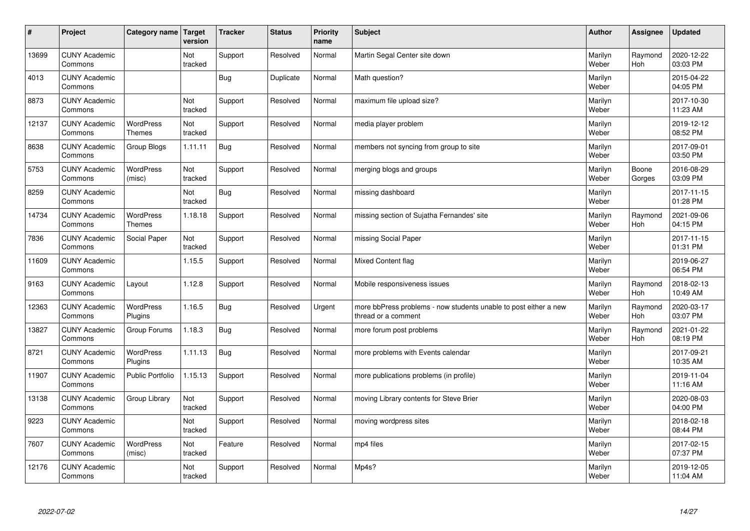| $\vert$ # | Project                         | Category name   Target     | version        | <b>Tracker</b> | <b>Status</b> | <b>Priority</b><br>name | <b>Subject</b>                                                                          | <b>Author</b>    | Assignee              | <b>Updated</b>         |
|-----------|---------------------------------|----------------------------|----------------|----------------|---------------|-------------------------|-----------------------------------------------------------------------------------------|------------------|-----------------------|------------------------|
| 13699     | <b>CUNY Academic</b><br>Commons |                            | Not<br>tracked | Support        | Resolved      | Normal                  | Martin Segal Center site down                                                           | Marilyn<br>Weber | Raymond<br><b>Hoh</b> | 2020-12-22<br>03:03 PM |
| 4013      | <b>CUNY Academic</b><br>Commons |                            |                | <b>Bug</b>     | Duplicate     | Normal                  | Math question?                                                                          | Marilyn<br>Weber |                       | 2015-04-22<br>04:05 PM |
| 8873      | <b>CUNY Academic</b><br>Commons |                            | Not<br>tracked | Support        | Resolved      | Normal                  | maximum file upload size?                                                               | Marilyn<br>Weber |                       | 2017-10-30<br>11:23 AM |
| 12137     | <b>CUNY Academic</b><br>Commons | <b>WordPress</b><br>Themes | Not<br>tracked | Support        | Resolved      | Normal                  | media player problem                                                                    | Marilyn<br>Weber |                       | 2019-12-12<br>08:52 PM |
| 8638      | <b>CUNY Academic</b><br>Commons | Group Blogs                | 1.11.11        | <b>Bug</b>     | Resolved      | Normal                  | members not syncing from group to site                                                  | Marilyn<br>Weber |                       | 2017-09-01<br>03:50 PM |
| 5753      | <b>CUNY Academic</b><br>Commons | <b>WordPress</b><br>(misc) | Not<br>tracked | Support        | Resolved      | Normal                  | merging blogs and groups                                                                | Marilyn<br>Weber | Boone<br>Gorges       | 2016-08-29<br>03:09 PM |
| 8259      | <b>CUNY Academic</b><br>Commons |                            | Not<br>tracked | <b>Bug</b>     | Resolved      | Normal                  | missing dashboard                                                                       | Marilyn<br>Weber |                       | 2017-11-15<br>01:28 PM |
| 14734     | <b>CUNY Academic</b><br>Commons | WordPress<br><b>Themes</b> | 1.18.18        | Support        | Resolved      | Normal                  | missing section of Sujatha Fernandes' site                                              | Marilyn<br>Weber | Raymond<br>Hoh        | 2021-09-06<br>04:15 PM |
| 7836      | <b>CUNY Academic</b><br>Commons | Social Paper               | Not<br>tracked | Support        | Resolved      | Normal                  | missing Social Paper                                                                    | Marilyn<br>Weber |                       | 2017-11-15<br>01:31 PM |
| 11609     | <b>CUNY Academic</b><br>Commons |                            | 1.15.5         | Support        | Resolved      | Normal                  | Mixed Content flag                                                                      | Marilyn<br>Weber |                       | 2019-06-27<br>06:54 PM |
| 9163      | <b>CUNY Academic</b><br>Commons | Layout                     | 1.12.8         | Support        | Resolved      | Normal                  | Mobile responsiveness issues                                                            | Marilyn<br>Weber | Raymond<br><b>Hoh</b> | 2018-02-13<br>10:49 AM |
| 12363     | <b>CUNY Academic</b><br>Commons | WordPress<br>Plugins       | 1.16.5         | Bug            | Resolved      | Urgent                  | more bbPress problems - now students unable to post either a new<br>thread or a comment | Marilyn<br>Weber | Raymond<br>Hoh        | 2020-03-17<br>03:07 PM |
| 13827     | <b>CUNY Academic</b><br>Commons | Group Forums               | 1.18.3         | Bug            | Resolved      | Normal                  | more forum post problems                                                                | Marilyn<br>Weber | Raymond<br>Hoh        | 2021-01-22<br>08:19 PM |
| 8721      | <b>CUNY Academic</b><br>Commons | WordPress<br>Plugins       | 1.11.13        | <b>Bug</b>     | Resolved      | Normal                  | more problems with Events calendar                                                      | Marilyn<br>Weber |                       | 2017-09-21<br>10:35 AM |
| 11907     | <b>CUNY Academic</b><br>Commons | Public Portfolio           | 1.15.13        | Support        | Resolved      | Normal                  | more publications problems (in profile)                                                 | Marilyn<br>Weber |                       | 2019-11-04<br>11:16 AM |
| 13138     | <b>CUNY Academic</b><br>Commons | Group Library              | Not<br>tracked | Support        | Resolved      | Normal                  | moving Library contents for Steve Brier                                                 | Marilyn<br>Weber |                       | 2020-08-03<br>04:00 PM |
| 9223      | <b>CUNY Academic</b><br>Commons |                            | Not<br>tracked | Support        | Resolved      | Normal                  | moving wordpress sites                                                                  | Marilyn<br>Weber |                       | 2018-02-18<br>08:44 PM |
| 7607      | <b>CUNY Academic</b><br>Commons | <b>WordPress</b><br>(misc) | Not<br>tracked | Feature        | Resolved      | Normal                  | mp4 files                                                                               | Marilyn<br>Weber |                       | 2017-02-15<br>07:37 PM |
| 12176     | <b>CUNY Academic</b><br>Commons |                            | Not<br>tracked | Support        | Resolved      | Normal                  | Mp4s?                                                                                   | Marilyn<br>Weber |                       | 2019-12-05<br>11:04 AM |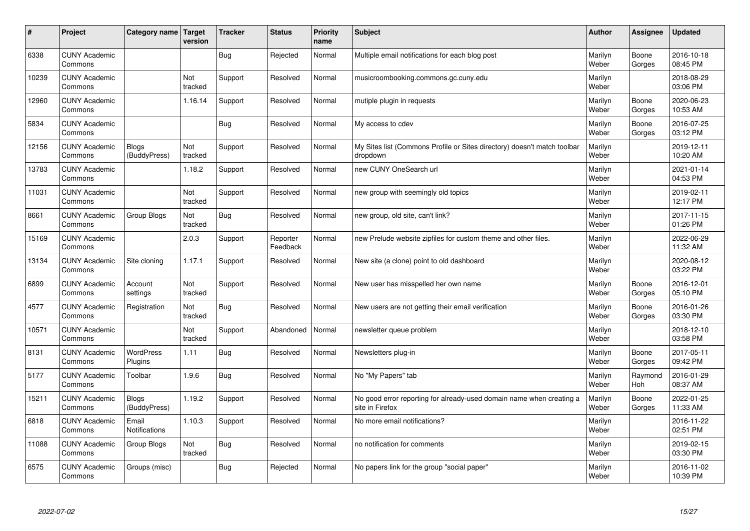| #     | Project                         | Category name   Target        | version        | <b>Tracker</b> | <b>Status</b>        | <b>Priority</b><br>name | <b>Subject</b>                                                                          | <b>Author</b>    | Assignee              | <b>Updated</b>         |
|-------|---------------------------------|-------------------------------|----------------|----------------|----------------------|-------------------------|-----------------------------------------------------------------------------------------|------------------|-----------------------|------------------------|
| 6338  | <b>CUNY Academic</b><br>Commons |                               |                | Bug            | Rejected             | Normal                  | Multiple email notifications for each blog post                                         | Marilyn<br>Weber | Boone<br>Gorges       | 2016-10-18<br>08:45 PM |
| 10239 | <b>CUNY Academic</b><br>Commons |                               | Not<br>tracked | Support        | Resolved             | Normal                  | musicroombooking.commons.gc.cuny.edu                                                    | Marilyn<br>Weber |                       | 2018-08-29<br>03:06 PM |
| 12960 | <b>CUNY Academic</b><br>Commons |                               | 1.16.14        | Support        | Resolved             | Normal                  | mutiple plugin in requests                                                              | Marilyn<br>Weber | Boone<br>Gorges       | 2020-06-23<br>10:53 AM |
| 5834  | <b>CUNY Academic</b><br>Commons |                               |                | Bug            | Resolved             | Normal                  | My access to cdev                                                                       | Marilyn<br>Weber | Boone<br>Gorges       | 2016-07-25<br>03:12 PM |
| 12156 | <b>CUNY Academic</b><br>Commons | <b>Blogs</b><br>(BuddyPress)  | Not<br>tracked | Support        | Resolved             | Normal                  | My Sites list (Commons Profile or Sites directory) doesn't match toolbar<br>dropdown    | Marilyn<br>Weber |                       | 2019-12-11<br>10:20 AM |
| 13783 | <b>CUNY Academic</b><br>Commons |                               | 1.18.2         | Support        | Resolved             | Normal                  | new CUNY OneSearch url                                                                  | Marilyn<br>Weber |                       | 2021-01-14<br>04:53 PM |
| 11031 | <b>CUNY Academic</b><br>Commons |                               | Not<br>tracked | Support        | Resolved             | Normal                  | new group with seemingly old topics                                                     | Marilyn<br>Weber |                       | 2019-02-11<br>12:17 PM |
| 8661  | <b>CUNY Academic</b><br>Commons | Group Blogs                   | Not<br>tracked | Bug            | Resolved             | Normal                  | new group, old site, can't link?                                                        | Marilyn<br>Weber |                       | 2017-11-15<br>01:26 PM |
| 15169 | <b>CUNY Academic</b><br>Commons |                               | 2.0.3          | Support        | Reporter<br>Feedback | Normal                  | new Prelude website zipfiles for custom theme and other files.                          | Marilyn<br>Weber |                       | 2022-06-29<br>11:32 AM |
| 13134 | <b>CUNY Academic</b><br>Commons | Site cloning                  | 1.17.1         | Support        | Resolved             | Normal                  | New site (a clone) point to old dashboard                                               | Marilyn<br>Weber |                       | 2020-08-12<br>03:22 PM |
| 6899  | <b>CUNY Academic</b><br>Commons | Account<br>settings           | Not<br>tracked | Support        | Resolved             | Normal                  | New user has misspelled her own name                                                    | Marilyn<br>Weber | Boone<br>Gorges       | 2016-12-01<br>05:10 PM |
| 4577  | <b>CUNY Academic</b><br>Commons | Registration                  | Not<br>tracked | Bug            | Resolved             | Normal                  | New users are not getting their email verification                                      | Marilyn<br>Weber | Boone<br>Gorges       | 2016-01-26<br>03:30 PM |
| 10571 | <b>CUNY Academic</b><br>Commons |                               | Not<br>tracked | Support        | Abandoned            | Normal                  | newsletter queue problem                                                                | Marilyn<br>Weber |                       | 2018-12-10<br>03:58 PM |
| 8131  | <b>CUNY Academic</b><br>Commons | <b>WordPress</b><br>Plugins   | 1.11           | Bug            | Resolved             | Normal                  | Newsletters plug-in                                                                     | Marilyn<br>Weber | Boone<br>Gorges       | 2017-05-11<br>09:42 PM |
| 5177  | <b>CUNY Academic</b><br>Commons | Toolbar                       | 1.9.6          | <b>Bug</b>     | Resolved             | Normal                  | No "My Papers" tab                                                                      | Marilyn<br>Weber | Raymond<br><b>Hoh</b> | 2016-01-29<br>08:37 AM |
| 15211 | <b>CUNY Academic</b><br>Commons | <b>Blogs</b><br>(BuddyPress)  | 1.19.2         | Support        | Resolved             | Normal                  | No good error reporting for already-used domain name when creating a<br>site in Firefox | Marilyn<br>Weber | Boone<br>Gorges       | 2022-01-25<br>11:33 AM |
| 6818  | <b>CUNY Academic</b><br>Commons | Email<br><b>Notifications</b> | 1.10.3         | Support        | Resolved             | Normal                  | No more email notifications?                                                            | Marilyn<br>Weber |                       | 2016-11-22<br>02:51 PM |
| 11088 | <b>CUNY Academic</b><br>Commons | Group Blogs                   | Not<br>tracked | Bug            | Resolved             | Normal                  | no notification for comments                                                            | Marilyn<br>Weber |                       | 2019-02-15<br>03:30 PM |
| 6575  | <b>CUNY Academic</b><br>Commons | Groups (misc)                 |                | Bug            | Rejected             | Normal                  | No papers link for the group "social paper"                                             | Marilyn<br>Weber |                       | 2016-11-02<br>10:39 PM |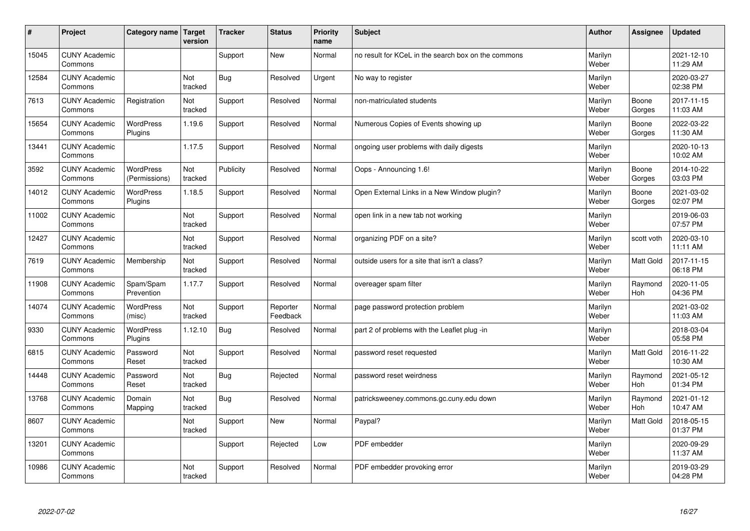| #     | Project                         | Category name   Target            | version        | <b>Tracker</b> | <b>Status</b>        | <b>Priority</b><br>name | <b>Subject</b>                                      | <b>Author</b>    | Assignee              | Updated                |
|-------|---------------------------------|-----------------------------------|----------------|----------------|----------------------|-------------------------|-----------------------------------------------------|------------------|-----------------------|------------------------|
| 15045 | <b>CUNY Academic</b><br>Commons |                                   |                | Support        | <b>New</b>           | Normal                  | no result for KCeL in the search box on the commons | Marilyn<br>Weber |                       | 2021-12-10<br>11:29 AM |
| 12584 | <b>CUNY Academic</b><br>Commons |                                   | Not<br>tracked | Bug            | Resolved             | Urgent                  | No way to register                                  | Marilyn<br>Weber |                       | 2020-03-27<br>02:38 PM |
| 7613  | <b>CUNY Academic</b><br>Commons | Registration                      | Not<br>tracked | Support        | Resolved             | Normal                  | non-matriculated students                           | Marilyn<br>Weber | Boone<br>Gorges       | 2017-11-15<br>11:03 AM |
| 15654 | <b>CUNY Academic</b><br>Commons | <b>WordPress</b><br>Plugins       | 1.19.6         | Support        | Resolved             | Normal                  | Numerous Copies of Events showing up                | Marilyn<br>Weber | Boone<br>Gorges       | 2022-03-22<br>11:30 AM |
| 13441 | <b>CUNY Academic</b><br>Commons |                                   | 1.17.5         | Support        | Resolved             | Normal                  | ongoing user problems with daily digests            | Marilyn<br>Weber |                       | 2020-10-13<br>10:02 AM |
| 3592  | <b>CUNY Academic</b><br>Commons | <b>WordPress</b><br>(Permissions) | Not<br>tracked | Publicity      | Resolved             | Normal                  | Oops - Announcing 1.6!                              | Marilyn<br>Weber | Boone<br>Gorges       | 2014-10-22<br>03:03 PM |
| 14012 | <b>CUNY Academic</b><br>Commons | <b>WordPress</b><br>Plugins       | 1.18.5         | Support        | Resolved             | Normal                  | Open External Links in a New Window plugin?         | Marilyn<br>Weber | Boone<br>Gorges       | 2021-03-02<br>02:07 PM |
| 11002 | <b>CUNY Academic</b><br>Commons |                                   | Not<br>tracked | Support        | Resolved             | Normal                  | open link in a new tab not working                  | Marilyn<br>Weber |                       | 2019-06-03<br>07:57 PM |
| 12427 | <b>CUNY Academic</b><br>Commons |                                   | Not<br>tracked | Support        | Resolved             | Normal                  | organizing PDF on a site?                           | Marilyn<br>Weber | scott voth            | 2020-03-10<br>11:11 AM |
| 7619  | <b>CUNY Academic</b><br>Commons | Membership                        | Not<br>tracked | Support        | Resolved             | Normal                  | outside users for a site that isn't a class?        | Marilyn<br>Weber | <b>Matt Gold</b>      | 2017-11-15<br>06:18 PM |
| 11908 | <b>CUNY Academic</b><br>Commons | Spam/Spam<br>Prevention           | 1.17.7         | Support        | Resolved             | Normal                  | overeager spam filter                               | Marilyn<br>Weber | Raymond<br><b>Hoh</b> | 2020-11-05<br>04:36 PM |
| 14074 | <b>CUNY Academic</b><br>Commons | <b>WordPress</b><br>(misc)        | Not<br>tracked | Support        | Reporter<br>Feedback | Normal                  | page password protection problem                    | Marilyn<br>Weber |                       | 2021-03-02<br>11:03 AM |
| 9330  | <b>CUNY Academic</b><br>Commons | <b>WordPress</b><br>Plugins       | 1.12.10        | Bug            | Resolved             | Normal                  | part 2 of problems with the Leaflet plug -in        | Marilyn<br>Weber |                       | 2018-03-04<br>05:58 PM |
| 6815  | <b>CUNY Academic</b><br>Commons | Password<br>Reset                 | Not<br>tracked | Support        | Resolved             | Normal                  | password reset requested                            | Marilyn<br>Weber | <b>Matt Gold</b>      | 2016-11-22<br>10:30 AM |
| 14448 | <b>CUNY Academic</b><br>Commons | Password<br>Reset                 | Not<br>tracked | Bug            | Rejected             | Normal                  | password reset weirdness                            | Marilyn<br>Weber | Raymond<br><b>Hoh</b> | 2021-05-12<br>01:34 PM |
| 13768 | <b>CUNY Academic</b><br>Commons | Domain<br>Mapping                 | Not<br>tracked | Bug            | Resolved             | Normal                  | patricksweeney.commons.gc.cuny.edu down             | Marilyn<br>Weber | Raymond<br>Hoh        | 2021-01-12<br>10:47 AM |
| 8607  | <b>CUNY Academic</b><br>Commons |                                   | Not<br>tracked | Support        | <b>New</b>           | Normal                  | Paypal?                                             | Marilyn<br>Weber | <b>Matt Gold</b>      | 2018-05-15<br>01:37 PM |
| 13201 | <b>CUNY Academic</b><br>Commons |                                   |                | Support        | Rejected             | Low                     | PDF embedder                                        | Marilyn<br>Weber |                       | 2020-09-29<br>11:37 AM |
| 10986 | <b>CUNY Academic</b><br>Commons |                                   | Not<br>tracked | Support        | Resolved             | Normal                  | PDF embedder provoking error                        | Marilyn<br>Weber |                       | 2019-03-29<br>04:28 PM |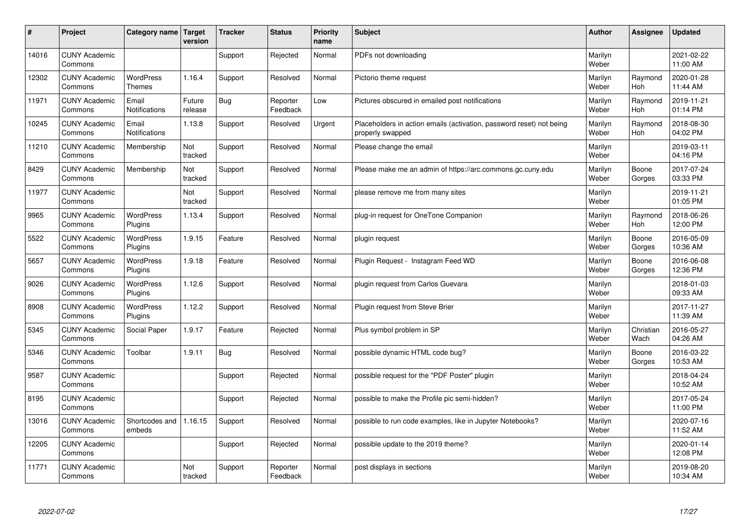| $\sharp$ | Project                         | Category name   Target            | version           | <b>Tracker</b> | <b>Status</b>        | <b>Priority</b><br>name | <b>Subject</b>                                                                           | <b>Author</b>    | Assignee              | <b>Updated</b>         |
|----------|---------------------------------|-----------------------------------|-------------------|----------------|----------------------|-------------------------|------------------------------------------------------------------------------------------|------------------|-----------------------|------------------------|
| 14016    | <b>CUNY Academic</b><br>Commons |                                   |                   | Support        | Rejected             | Normal                  | PDFs not downloading                                                                     | Marilyn<br>Weber |                       | 2021-02-22<br>11:00 AM |
| 12302    | <b>CUNY Academic</b><br>Commons | <b>WordPress</b><br><b>Themes</b> | 1.16.4            | Support        | Resolved             | Normal                  | Pictorio theme request                                                                   | Marilyn<br>Weber | Raymond<br><b>Hoh</b> | 2020-01-28<br>11:44 AM |
| 11971    | <b>CUNY Academic</b><br>Commons | Email<br>Notifications            | Future<br>release | Bug            | Reporter<br>Feedback | Low                     | Pictures obscured in emailed post notifications                                          | Marilyn<br>Weber | Raymond<br>Hoh        | 2019-11-21<br>01:14 PM |
| 10245    | <b>CUNY Academic</b><br>Commons | Email<br>Notifications            | 1.13.8            | Support        | Resolved             | Urgent                  | Placeholders in action emails (activation, password reset) not being<br>properly swapped | Marilyn<br>Weber | Raymond<br>Hoh        | 2018-08-30<br>04:02 PM |
| 11210    | <b>CUNY Academic</b><br>Commons | Membership                        | Not<br>tracked    | Support        | Resolved             | Normal                  | Please change the email                                                                  | Marilyn<br>Weber |                       | 2019-03-11<br>04:16 PM |
| 8429     | <b>CUNY Academic</b><br>Commons | Membership                        | Not<br>tracked    | Support        | Resolved             | Normal                  | Please make me an admin of https://arc.commons.gc.cuny.edu                               | Marilyn<br>Weber | Boone<br>Gorges       | 2017-07-24<br>03:33 PM |
| 11977    | <b>CUNY Academic</b><br>Commons |                                   | Not<br>tracked    | Support        | Resolved             | Normal                  | please remove me from many sites                                                         | Marilyn<br>Weber |                       | 2019-11-21<br>01:05 PM |
| 9965     | <b>CUNY Academic</b><br>Commons | WordPress<br>Plugins              | 1.13.4            | Support        | Resolved             | Normal                  | plug-in request for OneTone Companion                                                    | Marilyn<br>Weber | Raymond<br>Hoh        | 2018-06-26<br>12:00 PM |
| 5522     | <b>CUNY Academic</b><br>Commons | WordPress<br>Plugins              | 1.9.15            | Feature        | Resolved             | Normal                  | plugin request                                                                           | Marilyn<br>Weber | Boone<br>Gorges       | 2016-05-09<br>10:36 AM |
| 5657     | <b>CUNY Academic</b><br>Commons | WordPress<br>Plugins              | 1.9.18            | Feature        | Resolved             | Normal                  | Plugin Reguest - Instagram Feed WD                                                       | Marilyn<br>Weber | Boone<br>Gorges       | 2016-06-08<br>12:36 PM |
| 9026     | <b>CUNY Academic</b><br>Commons | <b>WordPress</b><br>Plugins       | 1.12.6            | Support        | Resolved             | Normal                  | plugin request from Carlos Guevara                                                       | Marilyn<br>Weber |                       | 2018-01-03<br>09:33 AM |
| 8908     | <b>CUNY Academic</b><br>Commons | <b>WordPress</b><br>Plugins       | 1.12.2            | Support        | Resolved             | Normal                  | Plugin request from Steve Brier                                                          | Marilyn<br>Weber |                       | 2017-11-27<br>11:39 AM |
| 5345     | <b>CUNY Academic</b><br>Commons | Social Paper                      | 1.9.17            | Feature        | Rejected             | Normal                  | Plus symbol problem in SP                                                                | Marilyn<br>Weber | Christian<br>Wach     | 2016-05-27<br>04:26 AM |
| 5346     | <b>CUNY Academic</b><br>Commons | Toolbar                           | 1.9.11            | <b>Bug</b>     | Resolved             | Normal                  | possible dynamic HTML code bug?                                                          | Marilyn<br>Weber | Boone<br>Gorges       | 2016-03-22<br>10:53 AM |
| 9587     | <b>CUNY Academic</b><br>Commons |                                   |                   | Support        | Rejected             | Normal                  | possible request for the "PDF Poster" plugin                                             | Marilyn<br>Weber |                       | 2018-04-24<br>10:52 AM |
| 8195     | <b>CUNY Academic</b><br>Commons |                                   |                   | Support        | Rejected             | Normal                  | possible to make the Profile pic semi-hidden?                                            | Marilyn<br>Weber |                       | 2017-05-24<br>11:00 PM |
| 13016    | <b>CUNY Academic</b><br>Commons | Shortcodes and<br>embeds          | 1.16.15           | Support        | Resolved             | Normal                  | possible to run code examples, like in Jupyter Notebooks?                                | Marilyn<br>Weber |                       | 2020-07-16<br>11:52 AM |
| 12205    | <b>CUNY Academic</b><br>Commons |                                   |                   | Support        | Rejected             | Normal                  | possible update to the 2019 theme?                                                       | Marilyn<br>Weber |                       | 2020-01-14<br>12:08 PM |
| 11771    | <b>CUNY Academic</b><br>Commons |                                   | Not<br>tracked    | Support        | Reporter<br>Feedback | Normal                  | post displays in sections                                                                | Marilyn<br>Weber |                       | 2019-08-20<br>10:34 AM |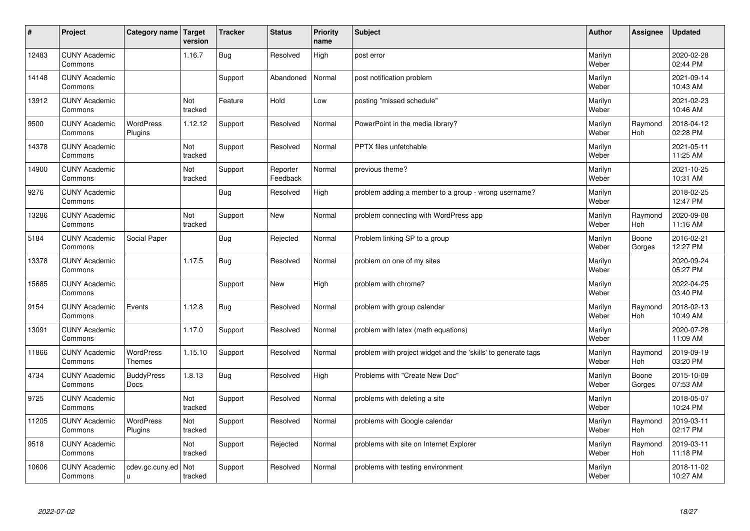| #     | Project                         | Category name   Target           | version               | <b>Tracker</b> | <b>Status</b>        | <b>Priority</b><br>name | <b>Subject</b>                                                | <b>Author</b>    | Assignee              | <b>Updated</b>         |
|-------|---------------------------------|----------------------------------|-----------------------|----------------|----------------------|-------------------------|---------------------------------------------------------------|------------------|-----------------------|------------------------|
| 12483 | <b>CUNY Academic</b><br>Commons |                                  | 1.16.7                | <b>Bug</b>     | Resolved             | High                    | post error                                                    | Marilyn<br>Weber |                       | 2020-02-28<br>02:44 PM |
| 14148 | <b>CUNY Academic</b><br>Commons |                                  |                       | Support        | Abandoned            | Normal                  | post notification problem                                     | Marilyn<br>Weber |                       | 2021-09-14<br>10:43 AM |
| 13912 | <b>CUNY Academic</b><br>Commons |                                  | Not<br>tracked        | Feature        | Hold                 | Low                     | posting "missed schedule"                                     | Marilyn<br>Weber |                       | 2021-02-23<br>10:46 AM |
| 9500  | <b>CUNY Academic</b><br>Commons | <b>WordPress</b><br>Plugins      | 1.12.12               | Support        | Resolved             | Normal                  | PowerPoint in the media library?                              | Marilyn<br>Weber | Raymond<br>Hoh        | 2018-04-12<br>02:28 PM |
| 14378 | <b>CUNY Academic</b><br>Commons |                                  | Not<br>tracked        | Support        | Resolved             | Normal                  | <b>PPTX</b> files unfetchable                                 | Marilyn<br>Weber |                       | 2021-05-11<br>11:25 AM |
| 14900 | <b>CUNY Academic</b><br>Commons |                                  | <b>Not</b><br>tracked | Support        | Reporter<br>Feedback | Normal                  | previous theme?                                               | Marilyn<br>Weber |                       | 2021-10-25<br>10:31 AM |
| 9276  | <b>CUNY Academic</b><br>Commons |                                  |                       | <b>Bug</b>     | Resolved             | High                    | problem adding a member to a group - wrong username?          | Marilyn<br>Weber |                       | 2018-02-25<br>12:47 PM |
| 13286 | <b>CUNY Academic</b><br>Commons |                                  | Not<br>tracked        | Support        | <b>New</b>           | Normal                  | problem connecting with WordPress app                         | Marilyn<br>Weber | Raymond<br>Hoh        | 2020-09-08<br>11:16 AM |
| 5184  | <b>CUNY Academic</b><br>Commons | Social Paper                     |                       | <b>Bug</b>     | Rejected             | Normal                  | Problem linking SP to a group                                 | Marilyn<br>Weber | Boone<br>Gorges       | 2016-02-21<br>12:27 PM |
| 13378 | <b>CUNY Academic</b><br>Commons |                                  | 1.17.5                | Bug            | Resolved             | Normal                  | problem on one of my sites                                    | Marilyn<br>Weber |                       | 2020-09-24<br>05:27 PM |
| 15685 | <b>CUNY Academic</b><br>Commons |                                  |                       | Support        | New                  | High                    | problem with chrome?                                          | Marilyn<br>Weber |                       | 2022-04-25<br>03:40 PM |
| 9154  | <b>CUNY Academic</b><br>Commons | Events                           | 1.12.8                | <b>Bug</b>     | Resolved             | Normal                  | problem with group calendar                                   | Marilyn<br>Weber | Raymond<br>Hoh        | 2018-02-13<br>10:49 AM |
| 13091 | <b>CUNY Academic</b><br>Commons |                                  | 1.17.0                | Support        | Resolved             | Normal                  | problem with latex (math equations)                           | Marilyn<br>Weber |                       | 2020-07-28<br>11:09 AM |
| 11866 | <b>CUNY Academic</b><br>Commons | WordPress<br><b>Themes</b>       | 1.15.10               | Support        | Resolved             | Normal                  | problem with project widget and the 'skills' to generate tags | Marilyn<br>Weber | Raymond<br><b>Hoh</b> | 2019-09-19<br>03:20 PM |
| 4734  | <b>CUNY Academic</b><br>Commons | <b>BuddyPress</b><br><b>Docs</b> | 1.8.13                | <b>Bug</b>     | Resolved             | High                    | Problems with "Create New Doc"                                | Marilyn<br>Weber | Boone<br>Gorges       | 2015-10-09<br>07:53 AM |
| 9725  | <b>CUNY Academic</b><br>Commons |                                  | Not<br>tracked        | Support        | Resolved             | Normal                  | problems with deleting a site                                 | Marilyn<br>Weber |                       | 2018-05-07<br>10:24 PM |
| 11205 | <b>CUNY Academic</b><br>Commons | WordPress<br>Plugins             | Not<br>tracked        | Support        | Resolved             | Normal                  | problems with Google calendar                                 | Marilyn<br>Weber | Raymond<br>Hoh        | 2019-03-11<br>02:17 PM |
| 9518  | <b>CUNY Academic</b><br>Commons |                                  | Not<br>tracked        | Support        | Rejected             | Normal                  | problems with site on Internet Explorer                       | Marilyn<br>Weber | Raymond<br><b>Hoh</b> | 2019-03-11<br>11:18 PM |
| 10606 | <b>CUNY Academic</b><br>Commons | cdev.gc.cuny.ed<br>ū             | Not<br>tracked        | Support        | Resolved             | Normal                  | problems with testing environment                             | Marilyn<br>Weber |                       | 2018-11-02<br>10:27 AM |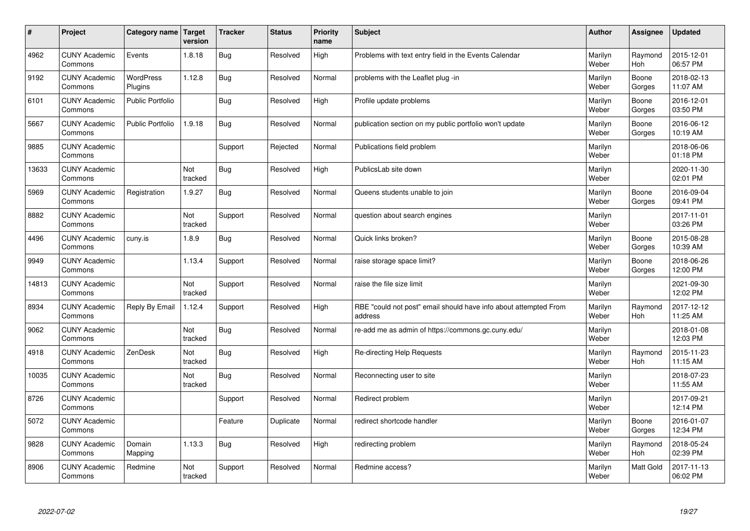| #     | Project                         | <b>Category name</b>        | Target<br>version | <b>Tracker</b> | <b>Status</b> | <b>Priority</b><br>name | <b>Subject</b>                                                              | <b>Author</b>    | <b>Assignee</b> | <b>Updated</b>         |
|-------|---------------------------------|-----------------------------|-------------------|----------------|---------------|-------------------------|-----------------------------------------------------------------------------|------------------|-----------------|------------------------|
| 4962  | <b>CUNY Academic</b><br>Commons | Events                      | 1.8.18            | Bug            | Resolved      | High                    | Problems with text entry field in the Events Calendar                       | Marilyn<br>Weber | Raymond<br>Hoh  | 2015-12-01<br>06:57 PM |
| 9192  | <b>CUNY Academic</b><br>Commons | <b>WordPress</b><br>Plugins | 1.12.8            | Bug            | Resolved      | Normal                  | problems with the Leaflet plug -in                                          | Marilyn<br>Weber | Boone<br>Gorges | 2018-02-13<br>11:07 AM |
| 6101  | <b>CUNY Academic</b><br>Commons | Public Portfolio            |                   | <b>Bug</b>     | Resolved      | High                    | Profile update problems                                                     | Marilyn<br>Weber | Boone<br>Gorges | 2016-12-01<br>03:50 PM |
| 5667  | <b>CUNY Academic</b><br>Commons | <b>Public Portfolio</b>     | 1.9.18            | <b>Bug</b>     | Resolved      | Normal                  | publication section on my public portfolio won't update                     | Marilyn<br>Weber | Boone<br>Gorges | 2016-06-12<br>10:19 AM |
| 9885  | <b>CUNY Academic</b><br>Commons |                             |                   | Support        | Rejected      | Normal                  | Publications field problem                                                  | Marilyn<br>Weber |                 | 2018-06-06<br>01:18 PM |
| 13633 | <b>CUNY Academic</b><br>Commons |                             | Not<br>tracked    | <b>Bug</b>     | Resolved      | High                    | PublicsLab site down                                                        | Marilyn<br>Weber |                 | 2020-11-30<br>02:01 PM |
| 5969  | <b>CUNY Academic</b><br>Commons | Registration                | 1.9.27            | <b>Bug</b>     | Resolved      | Normal                  | Queens students unable to join                                              | Marilyn<br>Weber | Boone<br>Gorges | 2016-09-04<br>09:41 PM |
| 8882  | <b>CUNY Academic</b><br>Commons |                             | Not<br>tracked    | Support        | Resolved      | Normal                  | question about search engines                                               | Marilyn<br>Weber |                 | 2017-11-01<br>03:26 PM |
| 4496  | <b>CUNY Academic</b><br>Commons | cuny.is                     | 1.8.9             | Bug            | Resolved      | Normal                  | Quick links broken?                                                         | Marilyn<br>Weber | Boone<br>Gorges | 2015-08-28<br>10:39 AM |
| 9949  | <b>CUNY Academic</b><br>Commons |                             | 1.13.4            | Support        | Resolved      | Normal                  | raise storage space limit?                                                  | Marilyn<br>Weber | Boone<br>Gorges | 2018-06-26<br>12:00 PM |
| 14813 | <b>CUNY Academic</b><br>Commons |                             | Not<br>tracked    | Support        | Resolved      | Normal                  | raise the file size limit                                                   | Marilyn<br>Weber |                 | 2021-09-30<br>12:02 PM |
| 8934  | <b>CUNY Academic</b><br>Commons | Reply By Email              | 1.12.4            | Support        | Resolved      | High                    | RBE "could not post" email should have info about attempted From<br>address | Marilyn<br>Weber | Raymond<br>Hoh  | 2017-12-12<br>11:25 AM |
| 9062  | <b>CUNY Academic</b><br>Commons |                             | Not<br>tracked    | <b>Bug</b>     | Resolved      | Normal                  | re-add me as admin of https://commons.gc.cuny.edu/                          | Marilyn<br>Weber |                 | 2018-01-08<br>12:03 PM |
| 4918  | <b>CUNY Academic</b><br>Commons | ZenDesk                     | Not<br>tracked    | <b>Bug</b>     | Resolved      | High                    | Re-directing Help Requests                                                  | Marilyn<br>Weber | Raymond<br>Hoh  | 2015-11-23<br>11:15 AM |
| 10035 | <b>CUNY Academic</b><br>Commons |                             | Not<br>tracked    | Bug            | Resolved      | Normal                  | Reconnecting user to site                                                   | Marilyn<br>Weber |                 | 2018-07-23<br>11:55 AM |
| 8726  | <b>CUNY Academic</b><br>Commons |                             |                   | Support        | Resolved      | Normal                  | Redirect problem                                                            | Marilyn<br>Weber |                 | 2017-09-21<br>12:14 PM |
| 5072  | <b>CUNY Academic</b><br>Commons |                             |                   | Feature        | Duplicate     | Normal                  | redirect shortcode handler                                                  | Marilyn<br>Weber | Boone<br>Gorges | 2016-01-07<br>12:34 PM |
| 9828  | <b>CUNY Academic</b><br>Commons | Domain<br>Mapping           | 1.13.3            | <b>Bug</b>     | Resolved      | High                    | redirecting problem                                                         | Marilyn<br>Weber | Raymond<br>Hoh  | 2018-05-24<br>02:39 PM |
| 8906  | <b>CUNY Academic</b><br>Commons | Redmine                     | Not<br>tracked    | Support        | Resolved      | Normal                  | Redmine access?                                                             | Marilyn<br>Weber | Matt Gold       | 2017-11-13<br>06:02 PM |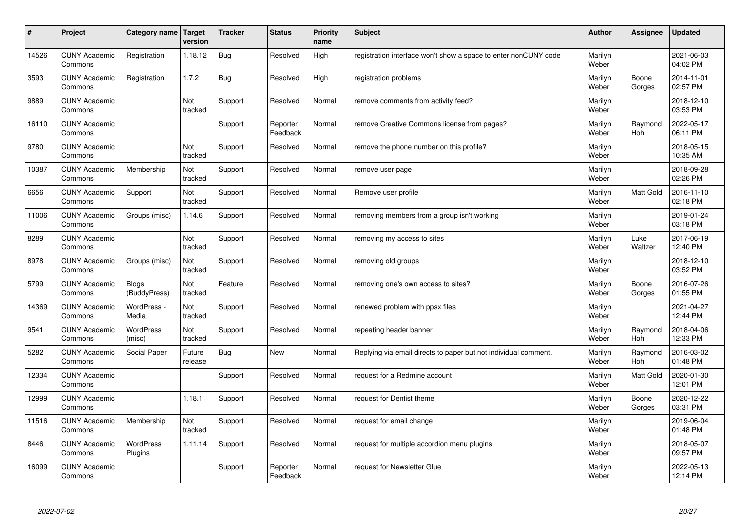| #     | Project                         | Category name                | Target<br>version | <b>Tracker</b> | <b>Status</b>        | <b>Priority</b><br>name | <b>Subject</b>                                                  | <b>Author</b>    | Assignee              | <b>Updated</b>         |
|-------|---------------------------------|------------------------------|-------------------|----------------|----------------------|-------------------------|-----------------------------------------------------------------|------------------|-----------------------|------------------------|
| 14526 | <b>CUNY Academic</b><br>Commons | Registration                 | 1.18.12           | Bug            | Resolved             | High                    | registration interface won't show a space to enter nonCUNY code | Marilyn<br>Weber |                       | 2021-06-03<br>04:02 PM |
| 3593  | <b>CUNY Academic</b><br>Commons | Registration                 | 1.7.2             | Bug            | Resolved             | High                    | registration problems                                           | Marilyn<br>Weber | Boone<br>Gorges       | 2014-11-01<br>02:57 PM |
| 9889  | <b>CUNY Academic</b><br>Commons |                              | Not<br>tracked    | Support        | Resolved             | Normal                  | remove comments from activity feed?                             | Marilyn<br>Weber |                       | 2018-12-10<br>03:53 PM |
| 16110 | <b>CUNY Academic</b><br>Commons |                              |                   | Support        | Reporter<br>Feedback | Normal                  | remove Creative Commons license from pages?                     | Marilyn<br>Weber | Raymond<br><b>Hoh</b> | 2022-05-17<br>06:11 PM |
| 9780  | <b>CUNY Academic</b><br>Commons |                              | Not<br>tracked    | Support        | Resolved             | Normal                  | remove the phone number on this profile?                        | Marilyn<br>Weber |                       | 2018-05-15<br>10:35 AM |
| 10387 | <b>CUNY Academic</b><br>Commons | Membership                   | Not<br>tracked    | Support        | Resolved             | Normal                  | remove user page                                                | Marilyn<br>Weber |                       | 2018-09-28<br>02:26 PM |
| 6656  | <b>CUNY Academic</b><br>Commons | Support                      | Not<br>tracked    | Support        | Resolved             | Normal                  | Remove user profile                                             | Marilyn<br>Weber | Matt Gold             | 2016-11-10<br>02:18 PM |
| 11006 | <b>CUNY Academic</b><br>Commons | Groups (misc)                | 1.14.6            | Support        | Resolved             | Normal                  | removing members from a group isn't working                     | Marilyn<br>Weber |                       | 2019-01-24<br>03:18 PM |
| 8289  | <b>CUNY Academic</b><br>Commons |                              | Not<br>tracked    | Support        | Resolved             | Normal                  | removing my access to sites                                     | Marilyn<br>Weber | Luke<br>Waltzer       | 2017-06-19<br>12:40 PM |
| 8978  | <b>CUNY Academic</b><br>Commons | Groups (misc)                | Not<br>tracked    | Support        | Resolved             | Normal                  | removing old groups                                             | Marilyn<br>Weber |                       | 2018-12-10<br>03:52 PM |
| 5799  | <b>CUNY Academic</b><br>Commons | <b>Blogs</b><br>(BuddyPress) | Not<br>tracked    | Feature        | Resolved             | Normal                  | removing one's own access to sites?                             | Marilyn<br>Weber | Boone<br>Gorges       | 2016-07-26<br>01:55 PM |
| 14369 | <b>CUNY Academic</b><br>Commons | WordPress -<br>Media         | Not<br>tracked    | Support        | Resolved             | Normal                  | renewed problem with ppsx files                                 | Marilyn<br>Weber |                       | 2021-04-27<br>12:44 PM |
| 9541  | <b>CUNY Academic</b><br>Commons | WordPress<br>(misc)          | Not<br>tracked    | Support        | Resolved             | Normal                  | repeating header banner                                         | Marilyn<br>Weber | Raymond<br>Hoh        | 2018-04-06<br>12:33 PM |
| 5282  | <b>CUNY Academic</b><br>Commons | Social Paper                 | Future<br>release | Bug            | <b>New</b>           | Normal                  | Replying via email directs to paper but not individual comment. | Marilyn<br>Weber | Raymond<br><b>Hoh</b> | 2016-03-02<br>01:48 PM |
| 12334 | <b>CUNY Academic</b><br>Commons |                              |                   | Support        | Resolved             | Normal                  | request for a Redmine account                                   | Marilyn<br>Weber | <b>Matt Gold</b>      | 2020-01-30<br>12:01 PM |
| 12999 | <b>CUNY Academic</b><br>Commons |                              | 1.18.1            | Support        | Resolved             | Normal                  | request for Dentist theme                                       | Marilyn<br>Weber | Boone<br>Gorges       | 2020-12-22<br>03:31 PM |
| 11516 | <b>CUNY Academic</b><br>Commons | Membership                   | Not<br>tracked    | Support        | Resolved             | Normal                  | request for email change                                        | Marilyn<br>Weber |                       | 2019-06-04<br>01:48 PM |
| 8446  | <b>CUNY Academic</b><br>Commons | <b>WordPress</b><br>Plugins  | 1.11.14           | Support        | Resolved             | Normal                  | request for multiple accordion menu plugins                     | Marilyn<br>Weber |                       | 2018-05-07<br>09:57 PM |
| 16099 | <b>CUNY Academic</b><br>Commons |                              |                   | Support        | Reporter<br>Feedback | Normal                  | request for Newsletter Glue                                     | Marilyn<br>Weber |                       | 2022-05-13<br>12:14 PM |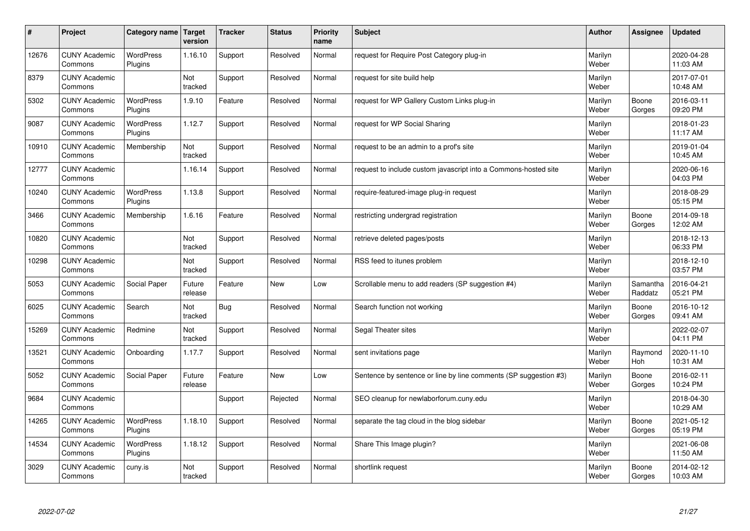| $\sharp$ | Project                         | Category name               | Target<br>version | <b>Tracker</b> | <b>Status</b> | <b>Priority</b><br>name | <b>Subject</b>                                                   | <b>Author</b>    | Assignee              | Updated                |
|----------|---------------------------------|-----------------------------|-------------------|----------------|---------------|-------------------------|------------------------------------------------------------------|------------------|-----------------------|------------------------|
| 12676    | <b>CUNY Academic</b><br>Commons | <b>WordPress</b><br>Plugins | 1.16.10           | Support        | Resolved      | Normal                  | request for Require Post Category plug-in                        | Marilyn<br>Weber |                       | 2020-04-28<br>11:03 AM |
| 8379     | <b>CUNY Academic</b><br>Commons |                             | Not<br>tracked    | Support        | Resolved      | Normal                  | request for site build help                                      | Marilyn<br>Weber |                       | 2017-07-01<br>10:48 AM |
| 5302     | <b>CUNY Academic</b><br>Commons | <b>WordPress</b><br>Plugins | 1.9.10            | Feature        | Resolved      | Normal                  | request for WP Gallery Custom Links plug-in                      | Marilyn<br>Weber | Boone<br>Gorges       | 2016-03-11<br>09:20 PM |
| 9087     | <b>CUNY Academic</b><br>Commons | <b>WordPress</b><br>Plugins | 1.12.7            | Support        | Resolved      | Normal                  | request for WP Social Sharing                                    | Marilyn<br>Weber |                       | 2018-01-23<br>11:17 AM |
| 10910    | <b>CUNY Academic</b><br>Commons | Membership                  | Not<br>tracked    | Support        | Resolved      | Normal                  | request to be an admin to a prof's site                          | Marilyn<br>Weber |                       | 2019-01-04<br>10:45 AM |
| 12777    | <b>CUNY Academic</b><br>Commons |                             | 1.16.14           | Support        | Resolved      | Normal                  | request to include custom javascript into a Commons-hosted site  | Marilyn<br>Weber |                       | 2020-06-16<br>04:03 PM |
| 10240    | <b>CUNY Academic</b><br>Commons | <b>WordPress</b><br>Plugins | 1.13.8            | Support        | Resolved      | Normal                  | require-featured-image plug-in request                           | Marilyn<br>Weber |                       | 2018-08-29<br>05:15 PM |
| 3466     | <b>CUNY Academic</b><br>Commons | Membership                  | 1.6.16            | Feature        | Resolved      | Normal                  | restricting undergrad registration                               | Marilyn<br>Weber | Boone<br>Gorges       | 2014-09-18<br>12:02 AM |
| 10820    | <b>CUNY Academic</b><br>Commons |                             | Not<br>tracked    | Support        | Resolved      | Normal                  | retrieve deleted pages/posts                                     | Marilyn<br>Weber |                       | 2018-12-13<br>06:33 PM |
| 10298    | <b>CUNY Academic</b><br>Commons |                             | Not<br>tracked    | Support        | Resolved      | Normal                  | RSS feed to itunes problem                                       | Marilyn<br>Weber |                       | 2018-12-10<br>03:57 PM |
| 5053     | <b>CUNY Academic</b><br>Commons | Social Paper                | Future<br>release | Feature        | New           | Low                     | Scrollable menu to add readers (SP suggestion #4)                | Marilyn<br>Weber | Samantha<br>Raddatz   | 2016-04-21<br>05:21 PM |
| 6025     | <b>CUNY Academic</b><br>Commons | Search                      | Not<br>tracked    | Bug            | Resolved      | Normal                  | Search function not working                                      | Marilyn<br>Weber | Boone<br>Gorges       | 2016-10-12<br>09:41 AM |
| 15269    | <b>CUNY Academic</b><br>Commons | Redmine                     | Not<br>tracked    | Support        | Resolved      | Normal                  | Segal Theater sites                                              | Marilyn<br>Weber |                       | 2022-02-07<br>04:11 PM |
| 13521    | <b>CUNY Academic</b><br>Commons | Onboarding                  | 1.17.7            | Support        | Resolved      | Normal                  | sent invitations page                                            | Marilyn<br>Weber | Raymond<br><b>Hoh</b> | 2020-11-10<br>10:31 AM |
| 5052     | <b>CUNY Academic</b><br>Commons | Social Paper                | Future<br>release | Feature        | <b>New</b>    | Low                     | Sentence by sentence or line by line comments (SP suggestion #3) | Marilyn<br>Weber | Boone<br>Gorges       | 2016-02-11<br>10:24 PM |
| 9684     | <b>CUNY Academic</b><br>Commons |                             |                   | Support        | Rejected      | Normal                  | SEO cleanup for newlaborforum.cuny.edu                           | Marilyn<br>Weber |                       | 2018-04-30<br>10:29 AM |
| 14265    | <b>CUNY Academic</b><br>Commons | WordPress<br>Plugins        | 1.18.10           | Support        | Resolved      | Normal                  | separate the tag cloud in the blog sidebar                       | Marilyn<br>Weber | Boone<br>Gorges       | 2021-05-12<br>05:19 PM |
| 14534    | <b>CUNY Academic</b><br>Commons | <b>WordPress</b><br>Plugins | 1.18.12           | Support        | Resolved      | Normal                  | Share This Image plugin?                                         | Marilyn<br>Weber |                       | 2021-06-08<br>11:50 AM |
| 3029     | <b>CUNY Academic</b><br>Commons | cuny.is                     | Not<br>tracked    | Support        | Resolved      | Normal                  | shortlink request                                                | Marilyn<br>Weber | Boone<br>Gorges       | 2014-02-12<br>10:03 AM |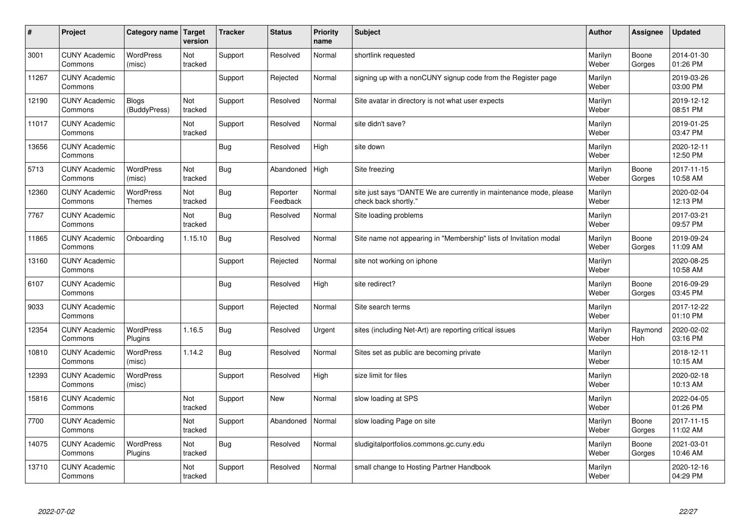| #     | Project                         | Category name   Target            | version        | <b>Tracker</b> | <b>Status</b>        | Priority<br>name | <b>Subject</b>                                                                             | <b>Author</b>    | Assignee        | <b>Updated</b>         |
|-------|---------------------------------|-----------------------------------|----------------|----------------|----------------------|------------------|--------------------------------------------------------------------------------------------|------------------|-----------------|------------------------|
| 3001  | <b>CUNY Academic</b><br>Commons | <b>WordPress</b><br>(misc)        | Not<br>tracked | Support        | Resolved             | Normal           | shortlink requested                                                                        | Marilyn<br>Weber | Boone<br>Gorges | 2014-01-30<br>01:26 PM |
| 11267 | <b>CUNY Academic</b><br>Commons |                                   |                | Support        | Rejected             | Normal           | signing up with a nonCUNY signup code from the Register page                               | Marilyn<br>Weber |                 | 2019-03-26<br>03:00 PM |
| 12190 | <b>CUNY Academic</b><br>Commons | <b>Blogs</b><br>(BuddyPress)      | Not<br>tracked | Support        | Resolved             | Normal           | Site avatar in directory is not what user expects                                          | Marilyn<br>Weber |                 | 2019-12-12<br>08:51 PM |
| 11017 | <b>CUNY Academic</b><br>Commons |                                   | Not<br>tracked | Support        | Resolved             | Normal           | site didn't save?                                                                          | Marilyn<br>Weber |                 | 2019-01-25<br>03:47 PM |
| 13656 | <b>CUNY Academic</b><br>Commons |                                   |                | <b>Bug</b>     | Resolved             | High             | site down                                                                                  | Marilyn<br>Weber |                 | 2020-12-11<br>12:50 PM |
| 5713  | <b>CUNY Academic</b><br>Commons | <b>WordPress</b><br>(misc)        | Not<br>tracked | <b>Bug</b>     | Abandoned            | High             | Site freezing                                                                              | Marilyn<br>Weber | Boone<br>Gorges | 2017-11-15<br>10:58 AM |
| 12360 | <b>CUNY Academic</b><br>Commons | <b>WordPress</b><br><b>Themes</b> | Not<br>tracked | <b>Bug</b>     | Reporter<br>Feedback | Normal           | site just says "DANTE We are currently in maintenance mode, please<br>check back shortly." | Marilyn<br>Weber |                 | 2020-02-04<br>12:13 PM |
| 7767  | <b>CUNY Academic</b><br>Commons |                                   | Not<br>tracked | <b>Bug</b>     | Resolved             | Normal           | Site loading problems                                                                      | Marilyn<br>Weber |                 | 2017-03-21<br>09:57 PM |
| 11865 | <b>CUNY Academic</b><br>Commons | Onboarding                        | 1.15.10        | Bug            | Resolved             | Normal           | Site name not appearing in "Membership" lists of Invitation modal                          | Marilyn<br>Weber | Boone<br>Gorges | 2019-09-24<br>11:09 AM |
| 13160 | <b>CUNY Academic</b><br>Commons |                                   |                | Support        | Rejected             | Normal           | site not working on iphone                                                                 | Marilyn<br>Weber |                 | 2020-08-25<br>10:58 AM |
| 6107  | <b>CUNY Academic</b><br>Commons |                                   |                | Bug            | Resolved             | High             | site redirect?                                                                             | Marilyn<br>Weber | Boone<br>Gorges | 2016-09-29<br>03:45 PM |
| 9033  | <b>CUNY Academic</b><br>Commons |                                   |                | Support        | Rejected             | Normal           | Site search terms                                                                          | Marilyn<br>Weber |                 | 2017-12-22<br>01:10 PM |
| 12354 | <b>CUNY Academic</b><br>Commons | <b>WordPress</b><br>Plugins       | 1.16.5         | Bug            | Resolved             | Urgent           | sites (including Net-Art) are reporting critical issues                                    | Marilyn<br>Weber | Raymond<br>Hoh  | 2020-02-02<br>03:16 PM |
| 10810 | <b>CUNY Academic</b><br>Commons | <b>WordPress</b><br>(misc)        | 1.14.2         | <b>Bug</b>     | Resolved             | Normal           | Sites set as public are becoming private                                                   | Marilyn<br>Weber |                 | 2018-12-11<br>10:15 AM |
| 12393 | <b>CUNY Academic</b><br>Commons | WordPress<br>(misc)               |                | Support        | Resolved             | High             | size limit for files                                                                       | Marilyn<br>Weber |                 | 2020-02-18<br>10:13 AM |
| 15816 | <b>CUNY Academic</b><br>Commons |                                   | Not<br>tracked | Support        | <b>New</b>           | Normal           | slow loading at SPS                                                                        | Marilyn<br>Weber |                 | 2022-04-05<br>01:26 PM |
| 7700  | <b>CUNY Academic</b><br>Commons |                                   | Not<br>tracked | Support        | Abandoned            | Normal           | slow loading Page on site                                                                  | Marilyn<br>Weber | Boone<br>Gorges | 2017-11-15<br>11:02 AM |
| 14075 | <b>CUNY Academic</b><br>Commons | <b>WordPress</b><br>Plugins       | Not<br>tracked | <b>Bug</b>     | Resolved             | Normal           | sludigitalportfolios.commons.gc.cuny.edu                                                   | Marilyn<br>Weber | Boone<br>Gorges | 2021-03-01<br>10:46 AM |
| 13710 | <b>CUNY Academic</b><br>Commons |                                   | Not<br>tracked | Support        | Resolved             | Normal           | small change to Hosting Partner Handbook                                                   | Marilyn<br>Weber |                 | 2020-12-16<br>04:29 PM |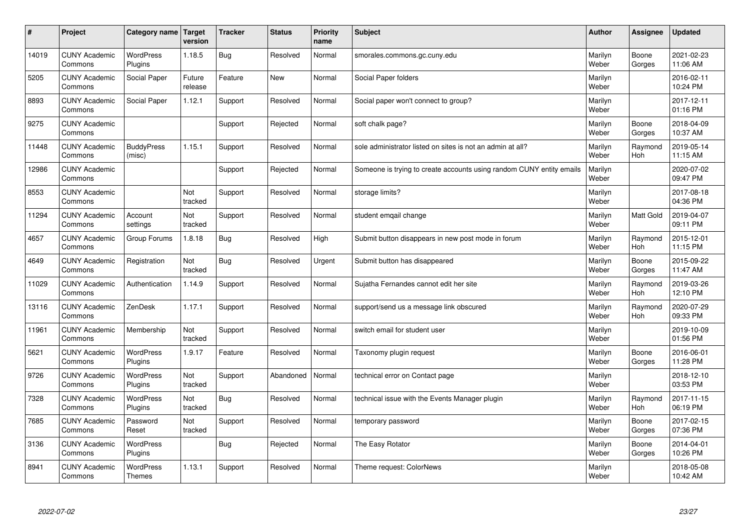| $\sharp$ | Project                         | Category name               | Target<br>version | <b>Tracker</b> | <b>Status</b> | <b>Priority</b><br>name | <b>Subject</b>                                                       | <b>Author</b>    | Assignee              | Updated                |
|----------|---------------------------------|-----------------------------|-------------------|----------------|---------------|-------------------------|----------------------------------------------------------------------|------------------|-----------------------|------------------------|
| 14019    | <b>CUNY Academic</b><br>Commons | <b>WordPress</b><br>Plugins | 1.18.5            | Bug            | Resolved      | Normal                  | smorales.commons.gc.cuny.edu                                         | Marilyn<br>Weber | Boone<br>Gorges       | 2021-02-23<br>11:06 AM |
| 5205     | <b>CUNY Academic</b><br>Commons | Social Paper                | Future<br>release | Feature        | New           | Normal                  | Social Paper folders                                                 | Marilyn<br>Weber |                       | 2016-02-11<br>10:24 PM |
| 8893     | <b>CUNY Academic</b><br>Commons | Social Paper                | 1.12.1            | Support        | Resolved      | Normal                  | Social paper won't connect to group?                                 | Marilyn<br>Weber |                       | 2017-12-11<br>01:16 PM |
| 9275     | <b>CUNY Academic</b><br>Commons |                             |                   | Support        | Rejected      | Normal                  | soft chalk page?                                                     | Marilyn<br>Weber | Boone<br>Gorges       | 2018-04-09<br>10:37 AM |
| 11448    | <b>CUNY Academic</b><br>Commons | <b>BuddyPress</b><br>(misc) | 1.15.1            | Support        | Resolved      | Normal                  | sole administrator listed on sites is not an admin at all?           | Marilyn<br>Weber | Raymond<br><b>Hoh</b> | 2019-05-14<br>11:15 AM |
| 12986    | <b>CUNY Academic</b><br>Commons |                             |                   | Support        | Rejected      | Normal                  | Someone is trying to create accounts using random CUNY entity emails | Marilyn<br>Weber |                       | 2020-07-02<br>09:47 PM |
| 8553     | <b>CUNY Academic</b><br>Commons |                             | Not<br>tracked    | Support        | Resolved      | Normal                  | storage limits?                                                      | Marilyn<br>Weber |                       | 2017-08-18<br>04:36 PM |
| 11294    | <b>CUNY Academic</b><br>Commons | Account<br>settings         | Not<br>tracked    | Support        | Resolved      | Normal                  | student emgail change                                                | Marilyn<br>Weber | Matt Gold             | 2019-04-07<br>09:11 PM |
| 4657     | <b>CUNY Academic</b><br>Commons | Group Forums                | 1.8.18            | <b>Bug</b>     | Resolved      | High                    | Submit button disappears in new post mode in forum                   | Marilyn<br>Weber | Raymond<br>Hoh        | 2015-12-01<br>11:15 PM |
| 4649     | <b>CUNY Academic</b><br>Commons | Registration                | Not<br>tracked    | Bug            | Resolved      | Urgent                  | Submit button has disappeared                                        | Marilyn<br>Weber | Boone<br>Gorges       | 2015-09-22<br>11:47 AM |
| 11029    | <b>CUNY Academic</b><br>Commons | Authentication              | 1.14.9            | Support        | Resolved      | Normal                  | Sujatha Fernandes cannot edit her site                               | Marilyn<br>Weber | Raymond<br><b>Hoh</b> | 2019-03-26<br>12:10 PM |
| 13116    | <b>CUNY Academic</b><br>Commons | ZenDesk                     | 1.17.1            | Support        | Resolved      | Normal                  | support/send us a message link obscured                              | Marilyn<br>Weber | Raymond<br>Hoh        | 2020-07-29<br>09:33 PM |
| 11961    | <b>CUNY Academic</b><br>Commons | Membership                  | Not<br>tracked    | Support        | Resolved      | Normal                  | switch email for student user                                        | Marilyn<br>Weber |                       | 2019-10-09<br>01:56 PM |
| 5621     | <b>CUNY Academic</b><br>Commons | <b>WordPress</b><br>Plugins | 1.9.17            | Feature        | Resolved      | Normal                  | Taxonomy plugin request                                              | Marilyn<br>Weber | Boone<br>Gorges       | 2016-06-01<br>11:28 PM |
| 9726     | <b>CUNY Academic</b><br>Commons | WordPress<br>Plugins        | Not<br>tracked    | Support        | Abandoned     | Normal                  | technical error on Contact page                                      | Marilyn<br>Weber |                       | 2018-12-10<br>03:53 PM |
| 7328     | <b>CUNY Academic</b><br>Commons | <b>WordPress</b><br>Plugins | Not<br>tracked    | Bug            | Resolved      | Normal                  | technical issue with the Events Manager plugin                       | Marilyn<br>Weber | Raymond<br>Hoh        | 2017-11-15<br>06:19 PM |
| 7685     | <b>CUNY Academic</b><br>Commons | Password<br>Reset           | Not<br>tracked    | Support        | Resolved      | Normal                  | temporary password                                                   | Marilyn<br>Weber | Boone<br>Gorges       | 2017-02-15<br>07:36 PM |
| 3136     | <b>CUNY Academic</b><br>Commons | WordPress<br>Plugins        |                   | <b>Bug</b>     | Rejected      | Normal                  | The Easy Rotator                                                     | Marilyn<br>Weber | Boone<br>Gorges       | 2014-04-01<br>10:26 PM |
| 8941     | <b>CUNY Academic</b><br>Commons | WordPress<br><b>Themes</b>  | 1.13.1            | Support        | Resolved      | Normal                  | Theme request: ColorNews                                             | Marilyn<br>Weber |                       | 2018-05-08<br>10:42 AM |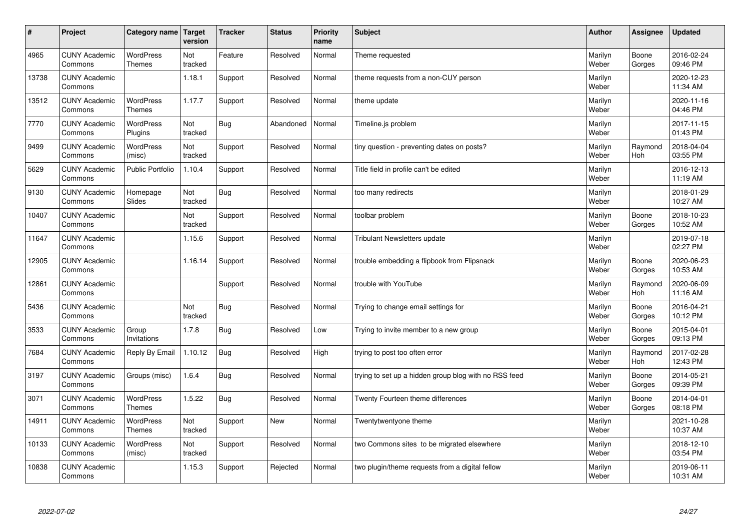| #     | Project                         | Category name                     | Target<br>version | <b>Tracker</b> | <b>Status</b> | <b>Priority</b><br>name | <b>Subject</b>                                        | <b>Author</b>    | Assignee              | <b>Updated</b>         |
|-------|---------------------------------|-----------------------------------|-------------------|----------------|---------------|-------------------------|-------------------------------------------------------|------------------|-----------------------|------------------------|
| 4965  | <b>CUNY Academic</b><br>Commons | <b>WordPress</b><br><b>Themes</b> | Not<br>tracked    | Feature        | Resolved      | Normal                  | Theme requested                                       | Marilyn<br>Weber | Boone<br>Gorges       | 2016-02-24<br>09:46 PM |
| 13738 | <b>CUNY Academic</b><br>Commons |                                   | 1.18.1            | Support        | Resolved      | Normal                  | theme requests from a non-CUY person                  | Marilyn<br>Weber |                       | 2020-12-23<br>11:34 AM |
| 13512 | <b>CUNY Academic</b><br>Commons | <b>WordPress</b><br><b>Themes</b> | 1.17.7            | Support        | Resolved      | Normal                  | theme update                                          | Marilyn<br>Weber |                       | 2020-11-16<br>04:46 PM |
| 7770  | <b>CUNY Academic</b><br>Commons | <b>WordPress</b><br>Plugins       | Not<br>tracked    | Bug            | Abandoned     | Normal                  | Timeline.js problem                                   | Marilyn<br>Weber |                       | 2017-11-15<br>01:43 PM |
| 9499  | <b>CUNY Academic</b><br>Commons | <b>WordPress</b><br>(misc)        | Not<br>tracked    | Support        | Resolved      | Normal                  | tiny question - preventing dates on posts?            | Marilyn<br>Weber | Raymond<br>Hoh        | 2018-04-04<br>03:55 PM |
| 5629  | <b>CUNY Academic</b><br>Commons | <b>Public Portfolio</b>           | 1.10.4            | Support        | Resolved      | Normal                  | Title field in profile can't be edited                | Marilyn<br>Weber |                       | 2016-12-13<br>11:19 AM |
| 9130  | <b>CUNY Academic</b><br>Commons | Homepage<br>Slides                | Not<br>tracked    | Bug            | Resolved      | Normal                  | too many redirects                                    | Marilyn<br>Weber |                       | 2018-01-29<br>10:27 AM |
| 10407 | <b>CUNY Academic</b><br>Commons |                                   | Not<br>tracked    | Support        | Resolved      | Normal                  | toolbar problem                                       | Marilyn<br>Weber | Boone<br>Gorges       | 2018-10-23<br>10:52 AM |
| 11647 | <b>CUNY Academic</b><br>Commons |                                   | 1.15.6            | Support        | Resolved      | Normal                  | <b>Tribulant Newsletters update</b>                   | Marilyn<br>Weber |                       | 2019-07-18<br>02:27 PM |
| 12905 | <b>CUNY Academic</b><br>Commons |                                   | 1.16.14           | Support        | Resolved      | Normal                  | trouble embedding a flipbook from Flipsnack           | Marilyn<br>Weber | Boone<br>Gorges       | 2020-06-23<br>10:53 AM |
| 12861 | <b>CUNY Academic</b><br>Commons |                                   |                   | Support        | Resolved      | Normal                  | trouble with YouTube                                  | Marilyn<br>Weber | Raymond<br>Hoh        | 2020-06-09<br>11:16 AM |
| 5436  | <b>CUNY Academic</b><br>Commons |                                   | Not<br>tracked    | Bug            | Resolved      | Normal                  | Trying to change email settings for                   | Marilyn<br>Weber | Boone<br>Gorges       | 2016-04-21<br>10:12 PM |
| 3533  | <b>CUNY Academic</b><br>Commons | Group<br>Invitations              | 1.7.8             | Bug            | Resolved      | Low                     | Trying to invite member to a new group                | Marilyn<br>Weber | Boone<br>Gorges       | 2015-04-01<br>09:13 PM |
| 7684  | <b>CUNY Academic</b><br>Commons | Reply By Email                    | 1.10.12           | Bug            | Resolved      | High                    | trying to post too often error                        | Marilyn<br>Weber | Raymond<br><b>Hoh</b> | 2017-02-28<br>12:43 PM |
| 3197  | <b>CUNY Academic</b><br>Commons | Groups (misc)                     | 1.6.4             | <b>Bug</b>     | Resolved      | Normal                  | trying to set up a hidden group blog with no RSS feed | Marilyn<br>Weber | Boone<br>Gorges       | 2014-05-21<br>09:39 PM |
| 3071  | <b>CUNY Academic</b><br>Commons | <b>WordPress</b><br><b>Themes</b> | 1.5.22            | Bug            | Resolved      | Normal                  | Twenty Fourteen theme differences                     | Marilyn<br>Weber | Boone<br>Gorges       | 2014-04-01<br>08:18 PM |
| 14911 | <b>CUNY Academic</b><br>Commons | WordPress<br>Themes               | Not<br>tracked    | Support        | <b>New</b>    | Normal                  | Twentytwentyone theme                                 | Marilyn<br>Weber |                       | 2021-10-28<br>10:37 AM |
| 10133 | <b>CUNY Academic</b><br>Commons | WordPress<br>(misc)               | Not<br>tracked    | Support        | Resolved      | Normal                  | two Commons sites to be migrated elsewhere            | Marilyn<br>Weber |                       | 2018-12-10<br>03:54 PM |
| 10838 | <b>CUNY Academic</b><br>Commons |                                   | 1.15.3            | Support        | Rejected      | Normal                  | two plugin/theme requests from a digital fellow       | Marilyn<br>Weber |                       | 2019-06-11<br>10:31 AM |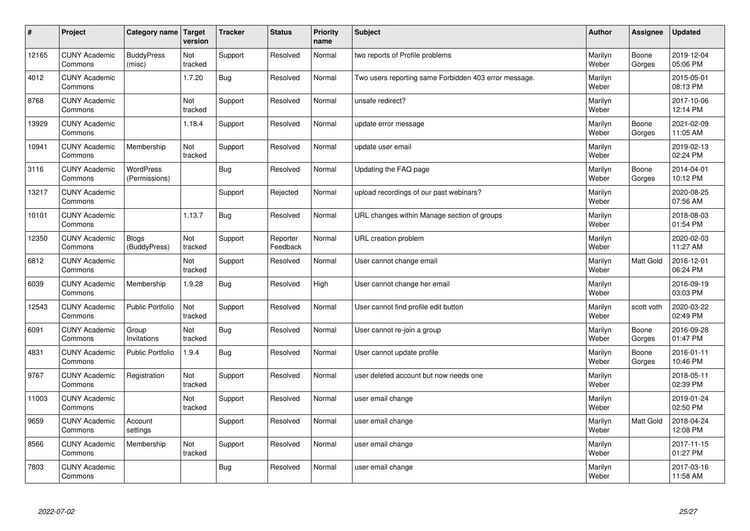| $\sharp$ | Project                         | Category name   Target       | version        | <b>Tracker</b> | <b>Status</b>        | <b>Priority</b><br>name | <b>Subject</b>                                        | <b>Author</b>    | Assignee         | Updated                |
|----------|---------------------------------|------------------------------|----------------|----------------|----------------------|-------------------------|-------------------------------------------------------|------------------|------------------|------------------------|
| 12165    | <b>CUNY Academic</b><br>Commons | <b>BuddyPress</b><br>(misc)  | Not<br>tracked | Support        | Resolved             | Normal                  | two reports of Profile problems                       | Marilyn<br>Weber | Boone<br>Gorges  | 2019-12-04<br>05:06 PM |
| 4012     | <b>CUNY Academic</b><br>Commons |                              | 1.7.20         | Bug            | Resolved             | Normal                  | Two users reporting same Forbidden 403 error message. | Marilyn<br>Weber |                  | 2015-05-01<br>08:13 PM |
| 8768     | <b>CUNY Academic</b><br>Commons |                              | Not<br>tracked | Support        | Resolved             | Normal                  | unsafe redirect?                                      | Marilyn<br>Weber |                  | 2017-10-06<br>12:14 PM |
| 13929    | <b>CUNY Academic</b><br>Commons |                              | 1.18.4         | Support        | Resolved             | Normal                  | update error message                                  | Marilyn<br>Weber | Boone<br>Gorges  | 2021-02-09<br>11:05 AM |
| 10941    | <b>CUNY Academic</b><br>Commons | Membership                   | Not<br>tracked | Support        | Resolved             | Normal                  | update user email                                     | Marilyn<br>Weber |                  | 2019-02-13<br>02:24 PM |
| 3116     | <b>CUNY Academic</b><br>Commons | WordPress<br>(Permissions)   |                | Bug            | Resolved             | Normal                  | Updating the FAQ page                                 | Marilyn<br>Weber | Boone<br>Gorges  | 2014-04-01<br>10:12 PM |
| 13217    | <b>CUNY Academic</b><br>Commons |                              |                | Support        | Rejected             | Normal                  | upload recordings of our past webinars?               | Marilyn<br>Weber |                  | 2020-08-25<br>07:56 AM |
| 10101    | <b>CUNY Academic</b><br>Commons |                              | 1.13.7         | <b>Bug</b>     | Resolved             | Normal                  | URL changes within Manage section of groups           | Marilyn<br>Weber |                  | 2018-08-03<br>01:54 PM |
| 12350    | <b>CUNY Academic</b><br>Commons | <b>Blogs</b><br>(BuddyPress) | Not<br>tracked | Support        | Reporter<br>Feedback | Normal                  | URL creation problem                                  | Marilyn<br>Weber |                  | 2020-02-03<br>11:27 AM |
| 6812     | <b>CUNY Academic</b><br>Commons |                              | Not<br>tracked | Support        | Resolved             | Normal                  | User cannot change email                              | Marilyn<br>Weber | <b>Matt Gold</b> | 2016-12-01<br>06:24 PM |
| 6039     | <b>CUNY Academic</b><br>Commons | Membership                   | 1.9.28         | Bug            | Resolved             | High                    | User cannot change her email                          | Marilyn<br>Weber |                  | 2016-09-19<br>03:03 PM |
| 12543    | <b>CUNY Academic</b><br>Commons | <b>Public Portfolio</b>      | Not<br>tracked | Support        | Resolved             | Normal                  | User cannot find profile edit button                  | Marilyn<br>Weber | scott voth       | 2020-03-22<br>02:49 PM |
| 6091     | <b>CUNY Academic</b><br>Commons | Group<br>Invitations         | Not<br>tracked | Bug            | Resolved             | Normal                  | User cannot re-join a group                           | Marilyn<br>Weber | Boone<br>Gorges  | 2016-09-28<br>01:47 PM |
| 4831     | <b>CUNY Academic</b><br>Commons | Public Portfolio             | 1.9.4          | Bug            | Resolved             | Normal                  | User cannot update profile                            | Marilyn<br>Weber | Boone<br>Gorges  | 2016-01-11<br>10:46 PM |
| 9767     | <b>CUNY Academic</b><br>Commons | Registration                 | Not<br>tracked | Support        | Resolved             | Normal                  | user deleted account but now needs one                | Marilyn<br>Weber |                  | 2018-05-11<br>02:39 PM |
| 11003    | <b>CUNY Academic</b><br>Commons |                              | Not<br>tracked | Support        | Resolved             | Normal                  | user email change                                     | Marilyn<br>Weber |                  | 2019-01-24<br>02:50 PM |
| 9659     | <b>CUNY Academic</b><br>Commons | Account<br>settings          |                | Support        | Resolved             | Normal                  | user email change                                     | Marilyn<br>Weber | Matt Gold        | 2018-04-24<br>12:08 PM |
| 8566     | <b>CUNY Academic</b><br>Commons | Membership                   | Not<br>tracked | Support        | Resolved             | Normal                  | user email change                                     | Marilyn<br>Weber |                  | 2017-11-15<br>01:27 PM |
| 7803     | <b>CUNY Academic</b><br>Commons |                              |                | Bug            | Resolved             | Normal                  | user email change                                     | Marilyn<br>Weber |                  | 2017-03-16<br>11:58 AM |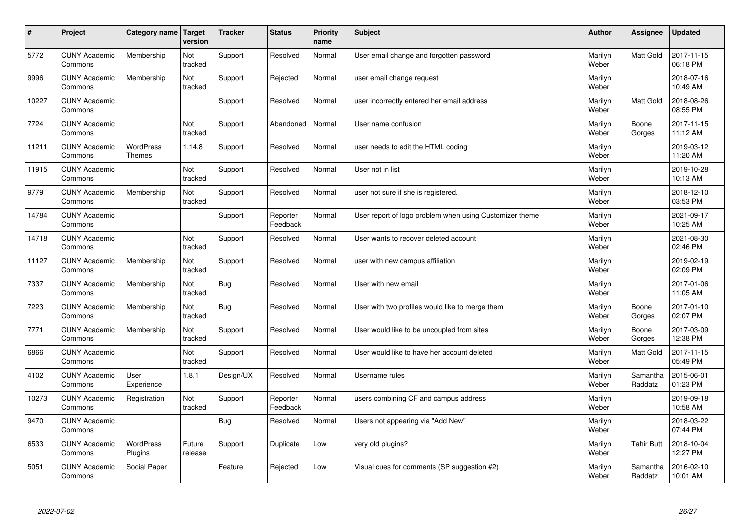| $\sharp$ | Project                         | Category name   Target      | version           | <b>Tracker</b> | <b>Status</b>        | <b>Priority</b><br>name | <b>Subject</b>                                          | <b>Author</b>    | Assignee            | <b>Updated</b>         |
|----------|---------------------------------|-----------------------------|-------------------|----------------|----------------------|-------------------------|---------------------------------------------------------|------------------|---------------------|------------------------|
| 5772     | <b>CUNY Academic</b><br>Commons | Membership                  | Not<br>tracked    | Support        | Resolved             | Normal                  | User email change and forgotten password                | Marilyn<br>Weber | <b>Matt Gold</b>    | 2017-11-15<br>06:18 PM |
| 9996     | <b>CUNY Academic</b><br>Commons | Membership                  | Not<br>tracked    | Support        | Rejected             | Normal                  | user email change request                               | Marilyn<br>Weber |                     | 2018-07-16<br>10:49 AM |
| 10227    | <b>CUNY Academic</b><br>Commons |                             |                   | Support        | Resolved             | Normal                  | user incorrectly entered her email address              | Marilyn<br>Weber | <b>Matt Gold</b>    | 2018-08-26<br>08:55 PM |
| 7724     | <b>CUNY Academic</b><br>Commons |                             | Not<br>tracked    | Support        | Abandoned            | Normal                  | User name confusion                                     | Marilyn<br>Weber | Boone<br>Gorges     | 2017-11-15<br>11:12 AM |
| 11211    | <b>CUNY Academic</b><br>Commons | <b>WordPress</b><br>Themes  | 1.14.8            | Support        | Resolved             | Normal                  | user needs to edit the HTML coding                      | Marilyn<br>Weber |                     | 2019-03-12<br>11:20 AM |
| 11915    | <b>CUNY Academic</b><br>Commons |                             | Not<br>tracked    | Support        | Resolved             | Normal                  | User not in list                                        | Marilyn<br>Weber |                     | 2019-10-28<br>10:13 AM |
| 9779     | <b>CUNY Academic</b><br>Commons | Membership                  | Not<br>tracked    | Support        | Resolved             | Normal                  | user not sure if she is registered.                     | Marilyn<br>Weber |                     | 2018-12-10<br>03:53 PM |
| 14784    | <b>CUNY Academic</b><br>Commons |                             |                   | Support        | Reporter<br>Feedback | Normal                  | User report of logo problem when using Customizer theme | Marilyn<br>Weber |                     | 2021-09-17<br>10:25 AM |
| 14718    | <b>CUNY Academic</b><br>Commons |                             | Not<br>tracked    | Support        | Resolved             | Normal                  | User wants to recover deleted account                   | Marilyn<br>Weber |                     | 2021-08-30<br>02:46 PM |
| 11127    | <b>CUNY Academic</b><br>Commons | Membership                  | Not<br>tracked    | Support        | Resolved             | Normal                  | user with new campus affiliation                        | Marilyn<br>Weber |                     | 2019-02-19<br>02:09 PM |
| 7337     | <b>CUNY Academic</b><br>Commons | Membership                  | Not<br>tracked    | Bug            | Resolved             | Normal                  | User with new email                                     | Marilyn<br>Weber |                     | 2017-01-06<br>11:05 AM |
| 7223     | <b>CUNY Academic</b><br>Commons | Membership                  | Not<br>tracked    | Bug            | Resolved             | Normal                  | User with two profiles would like to merge them         | Marilyn<br>Weber | Boone<br>Gorges     | 2017-01-10<br>02:07 PM |
| 7771     | <b>CUNY Academic</b><br>Commons | Membership                  | Not<br>tracked    | Support        | Resolved             | Normal                  | User would like to be uncoupled from sites              | Marilyn<br>Weber | Boone<br>Gorges     | 2017-03-09<br>12:38 PM |
| 6866     | <b>CUNY Academic</b><br>Commons |                             | Not<br>tracked    | Support        | Resolved             | Normal                  | User would like to have her account deleted             | Marilyn<br>Weber | Matt Gold           | 2017-11-15<br>05:49 PM |
| 4102     | <b>CUNY Academic</b><br>Commons | User<br>Experience          | 1.8.1             | Design/UX      | Resolved             | Normal                  | Username rules                                          | Marilyn<br>Weber | Samantha<br>Raddatz | 2015-06-01<br>01:23 PM |
| 10273    | <b>CUNY Academic</b><br>Commons | Registration                | Not<br>tracked    | Support        | Reporter<br>Feedback | Normal                  | users combining CF and campus address                   | Marilyn<br>Weber |                     | 2019-09-18<br>10:58 AM |
| 9470     | <b>CUNY Academic</b><br>Commons |                             |                   | Bug            | Resolved             | Normal                  | Users not appearing via "Add New"                       | Marilyn<br>Weber |                     | 2018-03-22<br>07:44 PM |
| 6533     | <b>CUNY Academic</b><br>Commons | <b>WordPress</b><br>Plugins | Future<br>release | Support        | Duplicate            | Low                     | very old plugins?                                       | Marilyn<br>Weber | <b>Tahir Butt</b>   | 2018-10-04<br>12:27 PM |
| 5051     | <b>CUNY Academic</b><br>Commons | Social Paper                |                   | Feature        | Rejected             | Low                     | Visual cues for comments (SP suggestion #2)             | Marilyn<br>Weber | Samantha<br>Raddatz | 2016-02-10<br>10:01 AM |